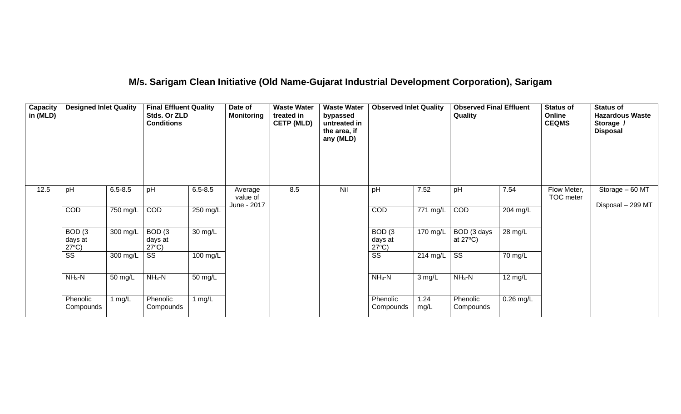## **M/s. Sarigam Clean Initiative (Old Name-Gujarat Industrial Development Corporation), Sarigam**

| <b>Capacity</b><br>in (MLD) | <b>Designed Inlet Quality</b>                   |             | <b>Final Effluent Quality</b><br>Stds. Or ZLD<br><b>Conditions</b> |             | Date of<br><b>Monitoring</b> | <b>Waste Water</b><br>treated in<br><b>CETP (MLD)</b> | <b>Waste Water</b><br>bypassed<br>untreated in<br>the area, if<br>any (MLD) | <b>Observed Inlet Quality</b>                   |                    | <b>Observed Final Effluent</b><br>Quality |             | <b>Status of</b><br>Online<br><b>CEQMS</b> | <b>Status of</b><br><b>Hazardous Waste</b><br>Storage /<br><b>Disposal</b> |
|-----------------------------|-------------------------------------------------|-------------|--------------------------------------------------------------------|-------------|------------------------------|-------------------------------------------------------|-----------------------------------------------------------------------------|-------------------------------------------------|--------------------|-------------------------------------------|-------------|--------------------------------------------|----------------------------------------------------------------------------|
| 12.5                        | pH                                              | $6.5 - 8.5$ | pH                                                                 | $6.5 - 8.5$ | Average<br>value of          | 8.5                                                   | Nil                                                                         | pH                                              | 7.52               | pH                                        | 7.54        | Flow Meter,<br>TOC meter                   | Storage - 60 MT                                                            |
|                             | COD                                             | 750 mg/L    | COD                                                                | 250 mg/L    | June - 2017                  |                                                       |                                                                             | COD                                             | 771 mg/L           | COD                                       | 204 mg/L    |                                            | Disposal - 299 MT                                                          |
|                             | BOD <sub>(3</sub><br>days at<br>$27^{\circ}C$ ) | 300 mg/L    | BOD <sub>(3</sub><br>days at<br>$27^{\circ}C$ )                    | 30 mg/L     |                              |                                                       |                                                                             | BOD <sub>(3</sub><br>days at<br>$27^{\circ}C$ ) | $170 \text{ mg/L}$ | BOD (3 days<br>at $27^{\circ}$ C)         | 28 mg/L     |                                            |                                                                            |
|                             | $\overline{\text{ss}}$                          | 300 mg/L    | SS                                                                 | 100 mg/L    |                              |                                                       |                                                                             | $\overline{\text{ss}}$                          | 214 mg/L           | $\overline{\text{ss}}$                    | 70 mg/L     |                                            |                                                                            |
|                             | $NH3-N$                                         | 50 mg/L     | $NH3-N$                                                            | 50 mg/L     |                              |                                                       |                                                                             | $NH3-N$                                         | 3 mg/L             | $NH_3-N$                                  | 12 mg/L     |                                            |                                                                            |
|                             | Phenolic<br>Compounds                           | 1 $mg/L$    | Phenolic<br>Compounds                                              | 1 $mg/L$    |                              |                                                       |                                                                             | Phenolic<br>Compounds                           | 1.24<br>mg/L       | Phenolic<br>Compounds                     | $0.26$ mg/L |                                            |                                                                            |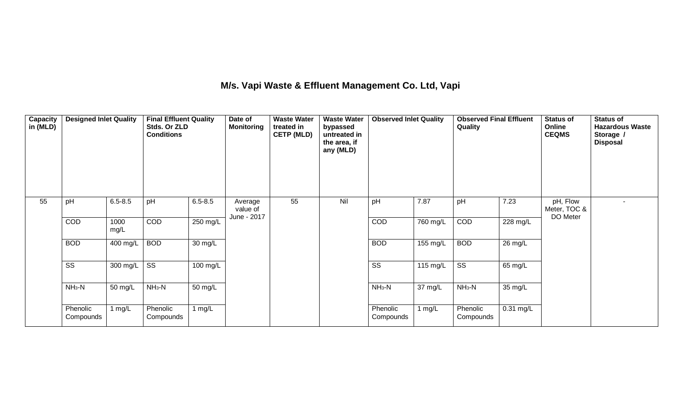### **M/s. Vapi Waste & Effluent Management Co. Ltd, Vapi**

| <b>Capacity</b><br>in (MLD) | <b>Designed Inlet Quality</b> |              | <b>Final Effluent Quality</b><br>Stds. Or ZLD<br><b>Conditions</b> |                   | Date of<br><b>Monitoring</b>       | <b>Waste Water</b><br>treated in<br><b>CETP (MLD)</b> | <b>Waste Water</b><br>bypassed<br>untreated in<br>the area, if<br>any (MLD) | <b>Observed Inlet Quality</b> |            | <b>Observed Final Effluent</b><br>Quality |             | <b>Status of</b><br>Online<br><b>CEQMS</b> | <b>Status of</b><br><b>Hazardous Waste</b><br>Storage /<br><b>Disposal</b> |
|-----------------------------|-------------------------------|--------------|--------------------------------------------------------------------|-------------------|------------------------------------|-------------------------------------------------------|-----------------------------------------------------------------------------|-------------------------------|------------|-------------------------------------------|-------------|--------------------------------------------|----------------------------------------------------------------------------|
| 55                          | pH                            | $6.5 - 8.5$  | pH                                                                 | $6.5 - 8.5$       | Average<br>value of<br>June - 2017 | 55                                                    | Nil                                                                         | pH                            | 7.87       | pH                                        | 7.23        | pH, Flow<br>Meter, TOC &<br>DO Meter       |                                                                            |
|                             | COD                           | 1000<br>mg/L | <b>COD</b>                                                         | 250 mg/L          |                                    |                                                       |                                                                             | <b>COD</b>                    | 760 mg/L   | COD                                       | 228 mg/L    |                                            |                                                                            |
|                             | <b>BOD</b>                    | 400 mg/L     | <b>BOD</b>                                                         | 30 mg/L           |                                    |                                                       |                                                                             | <b>BOD</b>                    | 155 mg/L   | <b>BOD</b>                                | 26 mg/L     |                                            |                                                                            |
|                             | $\overline{\text{ss}}$        | 300 mg/L     | $\overline{\text{SS}}$                                             | 100 mg/L          |                                    |                                                       |                                                                             | $\overline{\text{SS}}$        | 115 $mg/L$ | $\overline{\text{SS}}$                    | 65 mg/L     |                                            |                                                                            |
|                             | $NH3-N$                       | 50 mg/L      | $NH3-N$                                                            | $50 \text{ mg/L}$ |                                    |                                                       |                                                                             | $NH3-N$                       | 37 mg/L    | $NH3-N$                                   | 35 mg/L     |                                            |                                                                            |
|                             | Phenolic<br>Compounds         | 1 mg/L       | Phenolic<br>Compounds                                              | 1 mg/L            |                                    |                                                       |                                                                             | Phenolic<br>Compounds         | 1 $mg/L$   | Phenolic<br>Compounds                     | $0.31$ mg/L |                                            |                                                                            |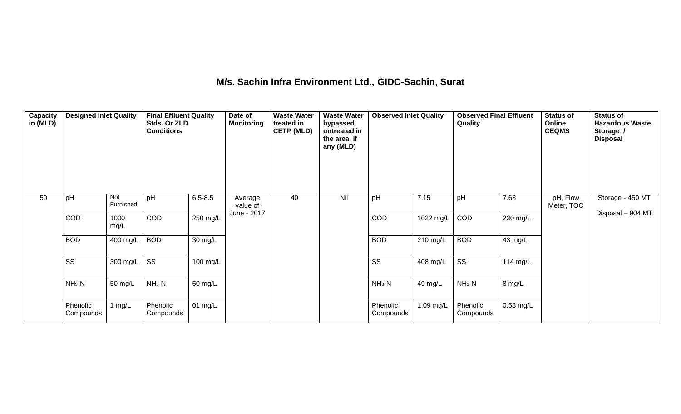## **M/s. Sachin Infra Environment Ltd., GIDC-Sachin, Surat**

| Capacity<br>in (MLD) | <b>Designed Inlet Quality</b> |                  | <b>Final Effluent Quality</b><br>Stds. Or ZLD<br><b>Conditions</b> |                   | Date of<br><b>Monitoring</b> | <b>Waste Water</b><br>treated in<br><b>CETP (MLD)</b> | <b>Waste Water</b><br>bypassed<br>untreated in<br>the area, if<br>any (MLD) | <b>Observed Inlet Quality</b> |           | <b>Observed Final Effluent</b><br>Quality |             | <b>Status of</b><br>Online<br><b>CEQMS</b> | <b>Status of</b><br><b>Hazardous Waste</b><br>Storage /<br><b>Disposal</b> |
|----------------------|-------------------------------|------------------|--------------------------------------------------------------------|-------------------|------------------------------|-------------------------------------------------------|-----------------------------------------------------------------------------|-------------------------------|-----------|-------------------------------------------|-------------|--------------------------------------------|----------------------------------------------------------------------------|
| 50                   | pH                            | Not<br>Furnished | pH                                                                 | $6.5 - 8.5$       | Average<br>value of          | 40                                                    | Nil                                                                         | pH                            | 7.15      | pH                                        | 7.63        | pH, Flow<br>Meter, TOC                     | Storage - 450 MT                                                           |
|                      | COD                           | 1000<br>mg/L     | <b>COD</b>                                                         | $250$ mg/L        | June - 2017                  |                                                       |                                                                             | COD                           | 1022 mg/L | COD                                       | 230 mg/L    |                                            | Disposal - 904 MT                                                          |
|                      | <b>BOD</b>                    | 400 mg/L         | <b>BOD</b>                                                         | $30 \text{ mg/L}$ |                              |                                                       |                                                                             | <b>BOD</b>                    | 210 mg/L  | <b>BOD</b>                                | 43 mg/L     |                                            |                                                                            |
|                      | SS                            | 300 mg/L         | SS                                                                 | 100 mg/L          |                              |                                                       |                                                                             | SS                            | 408 mg/L  | $\overline{\text{SS}}$                    | 114 mg/L    |                                            |                                                                            |
|                      | $NH3-N$                       | 50 mg/L          | $NH3-N$                                                            | 50 mg/L           |                              |                                                       |                                                                             | $NH3-N$                       | 49 mg/L   | $NH3-N$                                   | 8 mg/L      |                                            |                                                                            |
|                      | Phenolic<br>Compounds         | 1 $mg/L$         | Phenolic<br>Compounds                                              | $01 \text{ mg/L}$ |                              |                                                       |                                                                             | Phenolic<br>Compounds         | 1.09 mg/L | Phenolic<br>Compounds                     | $0.58$ mg/L |                                            |                                                                            |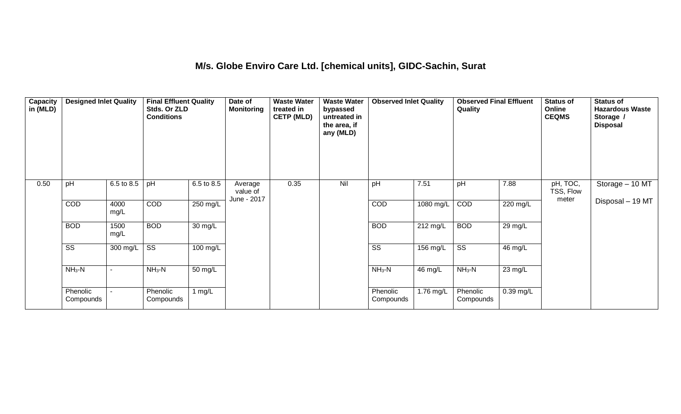#### **M/s. Globe Enviro Care Ltd. [chemical units], GIDC-Sachin, Surat**

| Capacity<br>in (MLD) | <b>Designed Inlet Quality</b> |                          | <b>Final Effluent Quality</b><br>Stds. Or ZLD<br><b>Conditions</b> |            | Date of<br><b>Monitoring</b>       | <b>Waste Water</b><br>treated in<br><b>CETP (MLD)</b> | <b>Waste Water</b><br>bypassed<br>untreated in<br>the area, if<br>any (MLD) | <b>Observed Inlet Quality</b> |           | <b>Observed Final Effluent</b><br>Quality |             | <b>Status of</b><br>Online<br><b>CEQMS</b> | <b>Status of</b><br><b>Hazardous Waste</b><br>Storage /<br><b>Disposal</b> |
|----------------------|-------------------------------|--------------------------|--------------------------------------------------------------------|------------|------------------------------------|-------------------------------------------------------|-----------------------------------------------------------------------------|-------------------------------|-----------|-------------------------------------------|-------------|--------------------------------------------|----------------------------------------------------------------------------|
| 0.50                 | pH                            | 6.5 to 8.5               | pH                                                                 | 6.5 to 8.5 | Average<br>value of<br>June - 2017 | 0.35                                                  | Nil                                                                         | pH                            | 7.51      | pH                                        | 7.88        | pH, TOC,<br>TSS, Flow<br>meter             | Storage - 10 MT                                                            |
|                      | COD                           | 4000<br>mg/L             | COD                                                                | 250 mg/L   |                                    |                                                       |                                                                             | COD                           | 1080 mg/L | COD                                       | 220 mg/L    |                                            | Disposal - 19 MT                                                           |
|                      | <b>BOD</b>                    | 1500<br>mg/L             | <b>BOD</b>                                                         | 30 mg/L    |                                    |                                                       |                                                                             | <b>BOD</b>                    | 212 mg/L  | <b>BOD</b>                                | 29 mg/L     |                                            |                                                                            |
|                      | $\overline{\text{ss}}$        | 300 mg/L                 | $\overline{\text{SS}}$                                             | 100 mg/L   |                                    |                                                       |                                                                             | $\overline{\text{ss}}$        | 156 mg/L  | $\overline{\text{ss}}$                    | 46 mg/L     |                                            |                                                                            |
|                      | $NH3-N$                       | $\overline{\phantom{a}}$ | $NH3-N$                                                            | 50 mg/L    |                                    |                                                       |                                                                             | $NH3-N$                       | 46 mg/L   | $NH3-N$                                   | 23 mg/L     |                                            |                                                                            |
|                      | Phenolic<br>Compounds         |                          | Phenolic<br>Compounds                                              | 1 $mg/L$   |                                    |                                                       |                                                                             | Phenolic<br>Compounds         | 1.76 mg/L | Phenolic<br>Compounds                     | $0.39$ mg/L |                                            |                                                                            |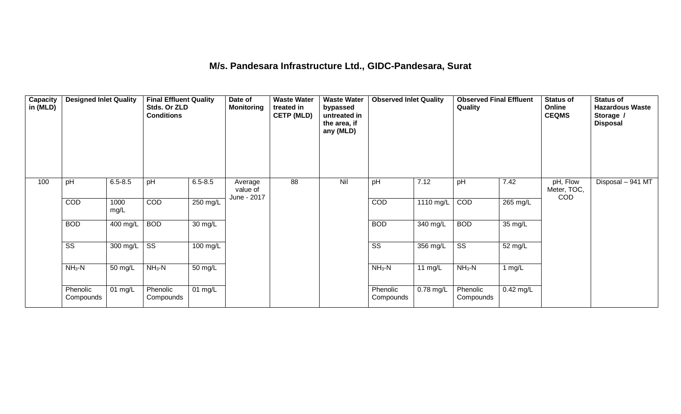## **M/s. Pandesara Infrastructure Ltd., GIDC-Pandesara, Surat**

| Capacity<br>in (MLD) | <b>Designed Inlet Quality</b> |                              | <b>Final Effluent Quality</b><br>Stds. Or ZLD<br><b>Conditions</b> |                   | Date of<br><b>Monitoring</b>       | <b>Waste Water</b><br>treated in<br><b>CETP (MLD)</b> | <b>Waste Water</b><br>bypassed<br>untreated in<br>the area, if<br>any (MLD) | <b>Observed Inlet Quality</b> |                     | <b>Observed Final Effluent</b><br>Quality |             | <b>Status of</b><br>Online<br><b>CEQMS</b> | <b>Status of</b><br><b>Hazardous Waste</b><br>Storage /<br><b>Disposal</b> |
|----------------------|-------------------------------|------------------------------|--------------------------------------------------------------------|-------------------|------------------------------------|-------------------------------------------------------|-----------------------------------------------------------------------------|-------------------------------|---------------------|-------------------------------------------|-------------|--------------------------------------------|----------------------------------------------------------------------------|
| 100                  | pH                            | $6.5 - 8.5$                  | pH                                                                 | $6.5 - 8.5$       | Average<br>value of<br>June - 2017 | $\overline{88}$                                       | Nil                                                                         | pH                            | 7.12                | pH                                        | 7.42        | pH, Flow<br>Meter, TOC,<br><b>COD</b>      | Disposal - 941 MT                                                          |
|                      | <b>COD</b>                    | 1000<br>mg/L                 | COD                                                                | 250 mg/L          |                                    |                                                       |                                                                             | COD                           | $1110 \text{ mg/L}$ | COD                                       | 265 mg/L    |                                            |                                                                            |
|                      | <b>BOD</b>                    | 400 mg/L                     | <b>BOD</b>                                                         | 30 mg/L           |                                    |                                                       |                                                                             | <b>BOD</b>                    | 340 mg/L            | <b>BOD</b>                                | 35 mg/L     |                                            |                                                                            |
|                      | $\overline{\text{ss}}$        | 300 mg/L                     | $\overline{\text{ss}}$                                             | 100 mg/L          |                                    |                                                       |                                                                             | $\overline{\text{ss}}$        | 356 mg/L            | $\overline{\text{ss}}$                    | 52 mg/L     |                                            |                                                                            |
|                      | $NH3-N$                       | 50 mg/L                      | $NH3-N$                                                            | $50 \text{ mg/L}$ |                                    |                                                       |                                                                             | $NH3-N$                       | 11 $mg/L$           | $NH3-N$                                   | 1 mg/ $L$   |                                            |                                                                            |
|                      | Phenolic<br>Compounds         | $\overline{0}1 \text{ mg/L}$ | Phenolic<br>Compounds                                              | $01 \text{ mg/L}$ |                                    |                                                       |                                                                             | Phenolic<br>Compounds         | $0.78$ mg/L         | Phenolic<br>Compounds                     | $0.42$ mg/L |                                            |                                                                            |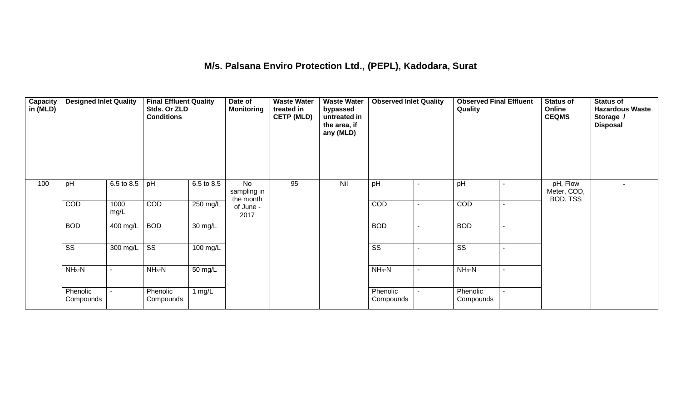### **M/s. Palsana Enviro Protection Ltd., (PEPL), Kadodara, Surat**

| Capacity<br>in (MLD) | <b>Designed Inlet Quality</b> |              | <b>Final Effluent Quality</b><br>Stds. Or ZLD<br><b>Conditions</b> |                       | Date of<br><b>Monitoring</b>               | <b>Waste Water</b><br>treated in<br><b>CETP (MLD)</b> | <b>Waste Water</b><br>bypassed<br>untreated in<br>the area, if<br>any (MLD) | <b>Observed Inlet Quality</b> |                | <b>Observed Final Effluent</b><br>Quality |                | <b>Status of</b><br>Online<br><b>CEQMS</b> | <b>Status of</b><br><b>Hazardous Waste</b><br>Storage /<br><b>Disposal</b> |
|----------------------|-------------------------------|--------------|--------------------------------------------------------------------|-----------------------|--------------------------------------------|-------------------------------------------------------|-----------------------------------------------------------------------------|-------------------------------|----------------|-------------------------------------------|----------------|--------------------------------------------|----------------------------------------------------------------------------|
| 100                  | pH                            | 6.5 to 8.5   | pH                                                                 | $6.5 \text{ to } 8.5$ | $\overline{N}$<br>sampling in<br>the month | 95                                                    | Nil                                                                         | pH                            |                | pH                                        |                | pH, Flow<br>Meter, COD,<br>BOD, TSS        |                                                                            |
|                      | COD                           | 1000<br>mg/L | COD                                                                | 250 mg/L              | of June -<br>2017                          |                                                       |                                                                             | COD                           | $\blacksquare$ | COD                                       |                |                                            |                                                                            |
|                      | <b>BOD</b>                    | 400 mg/L     | <b>BOD</b>                                                         | 30 mg/L               |                                            |                                                       |                                                                             | <b>BOD</b>                    | $\blacksquare$ | <b>BOD</b>                                | $\blacksquare$ |                                            |                                                                            |
|                      | $\overline{\text{ss}}$        | 300 mg/L     | $\overline{\text{ss}}$                                             | 100 mg/L              |                                            |                                                       |                                                                             | $\overline{\text{ss}}$        | ۰.             | $\overline{\text{ss}}$                    | $\blacksquare$ |                                            |                                                                            |
|                      | $NH3-N$                       |              | $NH3-N$                                                            | $\overline{50}$ mg/L  |                                            |                                                       |                                                                             | $NH3-N$                       | $\sim$         | $NH3-N$                                   |                |                                            |                                                                            |
|                      | Phenolic<br>Compounds         |              | Phenolic<br>Compounds                                              | 1 $mg/L$              |                                            |                                                       |                                                                             | Phenolic<br>Compounds         | $\blacksquare$ | Phenolic<br>Compounds                     |                |                                            |                                                                            |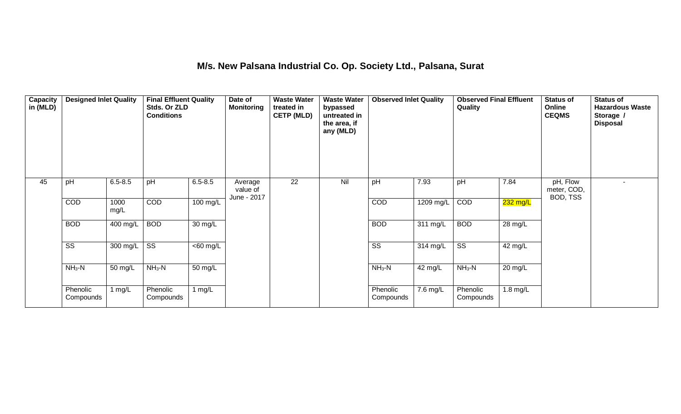### **M/s. New Palsana Industrial Co. Op. Society Ltd., Palsana, Surat**

| Capacity<br>in (MLD) | <b>Designed Inlet Quality</b> |                  | <b>Final Effluent Quality</b><br>Stds. Or ZLD<br><b>Conditions</b> |             | Date of<br>Monitoring              | <b>Waste Water</b><br>treated in<br><b>CETP (MLD)</b> | <b>Waste Water</b><br>bypassed<br>untreated in<br>the area, if<br>any (MLD) | <b>Observed Inlet Quality</b> |                        | <b>Observed Final Effluent</b><br>Quality |            | <b>Status of</b><br>Online<br><b>CEQMS</b> | <b>Status of</b><br><b>Hazardous Waste</b><br>Storage /<br><b>Disposal</b> |
|----------------------|-------------------------------|------------------|--------------------------------------------------------------------|-------------|------------------------------------|-------------------------------------------------------|-----------------------------------------------------------------------------|-------------------------------|------------------------|-------------------------------------------|------------|--------------------------------------------|----------------------------------------------------------------------------|
| 45                   | pH                            | $6.5 - 8.5$      | pH                                                                 | $6.5 - 8.5$ | Average<br>value of<br>June - 2017 | $\overline{22}$                                       | Nil                                                                         | pH                            | 7.93                   | pH                                        | 7.84       | pH, Flow<br>meter, COD,<br>BOD, TSS        |                                                                            |
|                      | COD                           | 1000<br>mg/L     | COD                                                                | 100 mg/L    |                                    |                                                       |                                                                             | COD                           | 1209 mg/L              | COD                                       | 232 mg/L   |                                            |                                                                            |
|                      | <b>BOD</b>                    | 400 mg/L         | <b>BOD</b>                                                         | 30 mg/L     |                                    |                                                       |                                                                             | <b>BOD</b>                    | 311 mg/L               | <b>BOD</b>                                | 28 mg/L    |                                            |                                                                            |
|                      | $\overline{\text{ss}}$        | 300 mg/L $\vert$ | $\overline{\text{ss}}$                                             | $<$ 60 mg/L |                                    |                                                       |                                                                             | $\overline{\text{ss}}$        | 314 mg/L               | $\overline{\text{ss}}$                    | 42 mg/L    |                                            |                                                                            |
|                      | $NH3-N$                       | 50 mg/L          | $NH3-N$                                                            | 50 mg/L     |                                    |                                                       |                                                                             | $NH3-N$                       | 42 mg/L                | $NH3-N$                                   | 20 mg/L    |                                            |                                                                            |
|                      | Phenolic<br>Compounds         | 1 mg/ $L$        | Phenolic<br>Compounds                                              | 1 mg/ $L$   |                                    |                                                       |                                                                             | Phenolic<br>Compounds         | $\overline{7}$ .6 mg/L | Phenolic<br>Compounds                     | $1.8$ mg/L |                                            |                                                                            |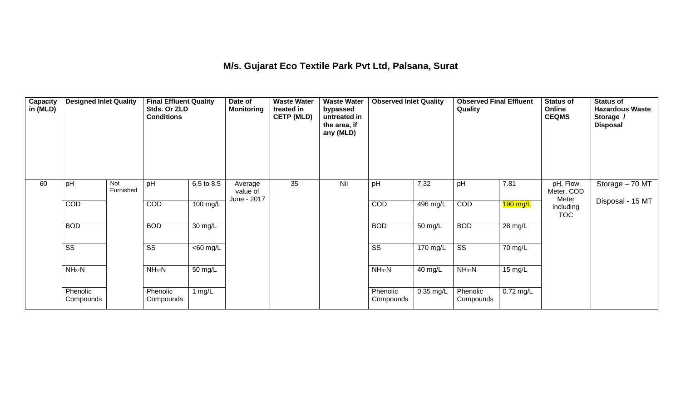#### **M/s. Gujarat Eco Textile Park Pvt Ltd, Palsana, Surat**

| Capacity<br>in (MLD) | <b>Designed Inlet Quality</b> |                         | <b>Final Effluent Quality</b><br>Stds. Or ZLD<br><b>Conditions</b> |             | Date of<br><b>Monitoring</b>       | <b>Waste Water</b><br>treated in<br><b>CETP (MLD)</b> | <b>Waste Water</b><br>bypassed<br>untreated in<br>the area, if<br>any (MLD) | <b>Observed Inlet Quality</b> |             | <b>Observed Final Effluent</b><br>Quality |             | <b>Status of</b><br>Online<br><b>CEQMS</b> | <b>Status of</b><br><b>Hazardous Waste</b><br>Storage /<br><b>Disposal</b> |
|----------------------|-------------------------------|-------------------------|--------------------------------------------------------------------|-------------|------------------------------------|-------------------------------------------------------|-----------------------------------------------------------------------------|-------------------------------|-------------|-------------------------------------------|-------------|--------------------------------------------|----------------------------------------------------------------------------|
| 60                   | pH                            | <b>Not</b><br>Furnished | pH                                                                 | 6.5 to 8.5  | Average<br>value of<br>June - 2017 | $\overline{35}$                                       | Nil                                                                         | pH                            | 7.32        | pH                                        | 7.81        | pH, Flow<br>Meter, COD<br>Meter            | Storage - 70 MT                                                            |
|                      | <b>COD</b>                    |                         | COD                                                                | 100 mg/L    |                                    |                                                       |                                                                             | COD                           | 496 mg/L    | COD                                       | $190$ mg/L  | including<br><b>TOC</b>                    | Disposal - 15 MT                                                           |
|                      | <b>BOD</b>                    |                         | <b>BOD</b>                                                         | 30 mg/L     |                                    |                                                       |                                                                             | <b>BOD</b>                    | 50 mg/L     | <b>BOD</b>                                | 28 mg/L     |                                            |                                                                            |
|                      | $\overline{\text{ss}}$        |                         | $\overline{\text{SS}}$                                             | $<$ 60 mg/L |                                    |                                                       |                                                                             | $\overline{\text{ss}}$        | 170 mg/L    | $\overline{\text{ss}}$                    | 70 mg/L     |                                            |                                                                            |
|                      | $NH3-N$                       |                         | $NH3-N$                                                            | 50 mg/L     |                                    |                                                       |                                                                             | $NH3-N$                       | 40 mg/L     | $NH3-N$                                   | 15 mg/L     |                                            |                                                                            |
|                      | Phenolic<br>Compounds         |                         | Phenolic<br>Compounds                                              | 1 mg/L      |                                    |                                                       |                                                                             | Phenolic<br>Compounds         | $0.35$ mg/L | Phenolic<br>Compounds                     | $0.72$ mg/L |                                            |                                                                            |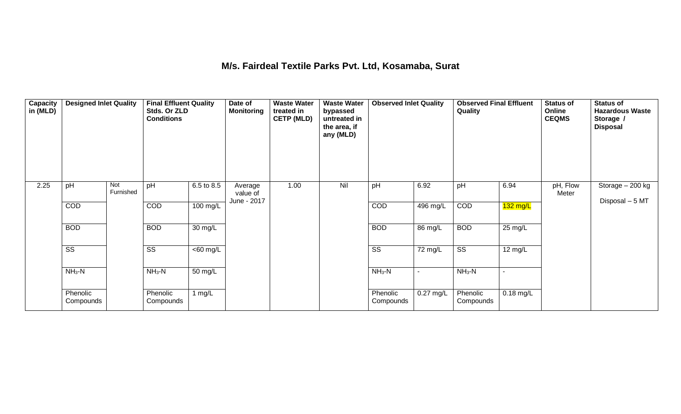#### **M/s. Fairdeal Textile Parks Pvt. Ltd, Kosamaba, Surat**

| Capacity<br>in (MLD) | <b>Designed Inlet Quality</b> |                  | <b>Final Effluent Quality</b><br>Stds. Or ZLD<br><b>Conditions</b> |             | Date of<br><b>Monitoring</b>       | <b>Waste Water</b><br>treated in<br><b>CETP (MLD)</b> | <b>Waste Water</b><br>bypassed<br>untreated in<br>the area, if<br>any (MLD) | <b>Observed Inlet Quality</b> |                          | <b>Observed Final Effluent</b><br>Quality |             | <b>Status of</b><br>Online<br><b>CEQMS</b> | <b>Status of</b><br><b>Hazardous Waste</b><br>Storage /<br><b>Disposal</b> |
|----------------------|-------------------------------|------------------|--------------------------------------------------------------------|-------------|------------------------------------|-------------------------------------------------------|-----------------------------------------------------------------------------|-------------------------------|--------------------------|-------------------------------------------|-------------|--------------------------------------------|----------------------------------------------------------------------------|
| 2.25                 | pH                            | Not<br>Furnished | pH                                                                 | 6.5 to 8.5  | Average<br>value of<br>June - 2017 | 1.00                                                  | Nil                                                                         | pH                            | 6.92                     | pH                                        | 6.94        | pH, Flow<br>Meter                          | Storage $-200$ kg<br>Disposal - 5 MT                                       |
|                      | <b>COD</b>                    |                  | COD                                                                | 100 mg/L    |                                    |                                                       |                                                                             | COD                           | 496 mg/L                 | COD                                       | $132$ mg/L  |                                            |                                                                            |
|                      | <b>BOD</b>                    |                  | <b>BOD</b>                                                         | 30 mg/L     |                                    |                                                       |                                                                             | <b>BOD</b>                    | 86 mg/L                  | <b>BOD</b>                                | 25 mg/L     |                                            |                                                                            |
|                      | $\overline{\text{ss}}$        |                  | $\overline{\text{SS}}$                                             | $<$ 60 mg/L |                                    |                                                       |                                                                             | $\overline{\text{ss}}$        | 72 mg/L                  | $\overline{\text{ss}}$                    | 12 mg/L     |                                            |                                                                            |
|                      | $NH3-N$                       |                  | $NH3-N$                                                            | 50 mg/L     |                                    |                                                       |                                                                             | $NH3-N$                       | $\overline{\phantom{0}}$ | $NH3-N$                                   |             |                                            |                                                                            |
|                      | Phenolic<br>Compounds         |                  | Phenolic<br>Compounds                                              | 1 $mg/L$    |                                    |                                                       |                                                                             | Phenolic<br>Compounds         | $0.27$ mg/L              | Phenolic<br>Compounds                     | $0.18$ mg/L |                                            |                                                                            |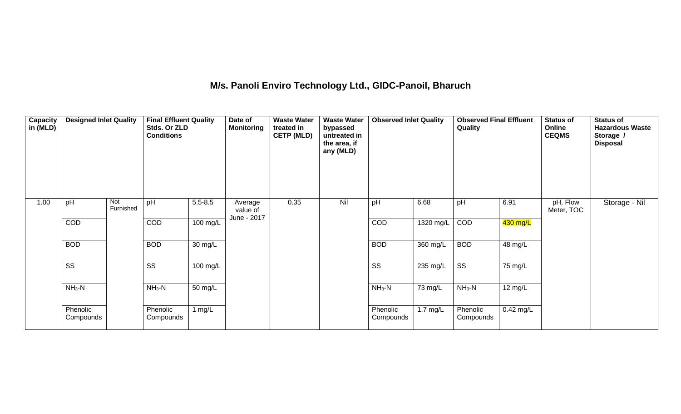## **M/s. Panoli Enviro Technology Ltd., GIDC-Panoil, Bharuch**

| Capacity<br>in (MLD) | <b>Designed Inlet Quality</b> |                  | <b>Final Effluent Quality</b><br>Stds. Or ZLD<br><b>Conditions</b> |                    | Date of<br><b>Monitoring</b>       | <b>Waste Water</b><br>treated in<br><b>CETP (MLD)</b> | <b>Waste Water</b><br>bypassed<br>untreated in<br>the area, if<br>any (MLD) | <b>Observed Inlet Quality</b> |                    | <b>Observed Final Effluent</b><br>Quality |                   | <b>Status of</b><br>Online<br><b>CEQMS</b> | <b>Status of</b><br><b>Hazardous Waste</b><br>Storage /<br><b>Disposal</b> |
|----------------------|-------------------------------|------------------|--------------------------------------------------------------------|--------------------|------------------------------------|-------------------------------------------------------|-----------------------------------------------------------------------------|-------------------------------|--------------------|-------------------------------------------|-------------------|--------------------------------------------|----------------------------------------------------------------------------|
| 1.00                 | pH                            | Not<br>Furnished | pH                                                                 | $5.5 - 8.5$        | Average<br>value of<br>June - 2017 | 0.35                                                  | Nil                                                                         | pH                            | 6.68               | pH                                        | 6.91              | pH, Flow<br>Meter, TOC                     | Storage - Nil                                                              |
|                      | COD                           |                  | COD                                                                | $100 \text{ mg/L}$ |                                    |                                                       |                                                                             | COD                           | 1320 mg/L          | COD                                       | 430 mg/L          |                                            |                                                                            |
|                      | <b>BOD</b>                    |                  | <b>BOD</b>                                                         | 30 mg/L            |                                    |                                                       |                                                                             | <b>BOD</b>                    | 360 mg/L           | <b>BOD</b>                                | $48 \text{ mg/L}$ |                                            |                                                                            |
|                      | $\overline{\text{ss}}$        |                  | $\overline{\text{SS}}$                                             | 100 mg/L           |                                    |                                                       |                                                                             | $\overline{\text{ss}}$        | 235 mg/L           | $\overline{\text{SS}}$                    | 75 mg/L           |                                            |                                                                            |
|                      | $NH3-N$                       |                  | $NH_3-N$                                                           | 50 mg/L            |                                    |                                                       |                                                                             | $NH3-N$                       | 73 mg/L            | $NH_3-N$                                  | 12 mg/L           |                                            |                                                                            |
|                      | Phenolic<br>Compounds         |                  | Phenolic<br>Compounds                                              | 1 $mg/L$           |                                    |                                                       |                                                                             | Phenolic<br>Compounds         | $1.7 \text{ mg/L}$ | Phenolic<br>Compounds                     | $0.42$ mg/L       |                                            |                                                                            |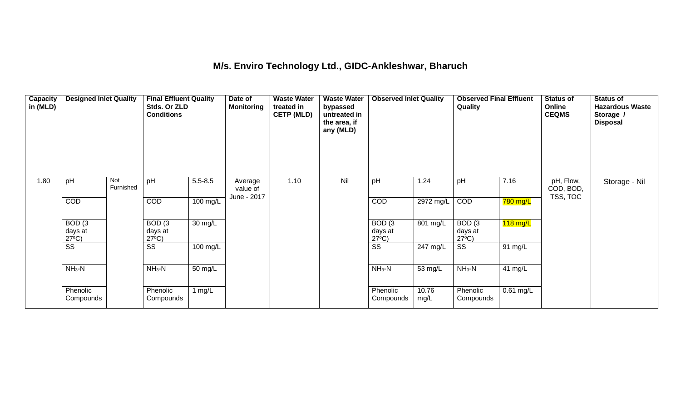#### **M/s. Enviro Technology Ltd., GIDC-Ankleshwar, Bharuch**

| Capacity<br>in (MLD) | <b>Designed Inlet Quality</b>                   |                  | <b>Final Effluent Quality</b><br>Stds. Or ZLD<br><b>Conditions</b> |                    | Date of<br><b>Monitoring</b> | <b>Waste Water</b><br>treated in<br><b>CETP (MLD)</b> | <b>Waste Water</b><br>bypassed<br>untreated in<br>the area, if<br>any (MLD) | <b>Observed Inlet Quality</b>                   |               | <b>Observed Final Effluent</b><br>Quality          |                    | <b>Status of</b><br>Online<br><b>CEQMS</b> | <b>Status of</b><br><b>Hazardous Waste</b><br>Storage /<br><b>Disposal</b> |
|----------------------|-------------------------------------------------|------------------|--------------------------------------------------------------------|--------------------|------------------------------|-------------------------------------------------------|-----------------------------------------------------------------------------|-------------------------------------------------|---------------|----------------------------------------------------|--------------------|--------------------------------------------|----------------------------------------------------------------------------|
| 1.80                 | pH                                              | Not<br>Furnished | pH                                                                 | $5.5 - 8.5$        | Average<br>value of          | 1.10                                                  | Nil                                                                         | pH                                              | 1.24          | pH                                                 | 7.16               | pH, Flow,<br>COD, BOD,                     | Storage - Nil                                                              |
|                      | COD                                             |                  | COD                                                                | 100 mg/L           | June - 2017                  |                                                       |                                                                             | COD                                             | 2972 mg/L     | COD                                                | 780 mg/L           | TSS, TOC                                   |                                                                            |
|                      | BOD <sub>(3</sub><br>days at<br>$27^{\circ}C$ ) |                  | BOD <sub>(3</sub><br>days at<br>$27^{\circ}C$ )                    | 30 mg/L            |                              |                                                       |                                                                             | BOD <sub>(3</sub><br>days at<br>$27^{\circ}C$ ) | 801 mg/L      | $\overline{B}$ OD (3<br>days at<br>$27^{\circ}C$ ) | $118 \text{ mg/L}$ |                                            |                                                                            |
|                      | $\overline{\text{ss}}$                          |                  | $\overline{\text{ss}}$                                             | $100 \text{ mg/L}$ |                              |                                                       |                                                                             | $\overline{\text{ss}}$                          | 247 mg/L      | $\overline{\text{ss}}$                             | 91 mg/L            |                                            |                                                                            |
|                      | $NH3-N$                                         |                  | $NH3-N$                                                            | 50 mg/L            |                              |                                                       |                                                                             | $NH3-N$                                         | 53 mg/L       | $NH3-N$                                            | 41 mg/L            |                                            |                                                                            |
|                      | Phenolic<br>Compounds                           |                  | Phenolic<br>Compounds                                              | 1 $mg/L$           |                              |                                                       |                                                                             | Phenolic<br>Compounds                           | 10.76<br>mg/L | Phenolic<br>Compounds                              | $0.61$ mg/L        |                                            |                                                                            |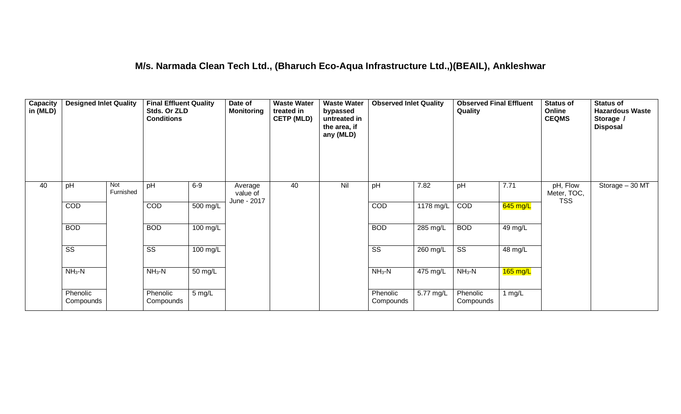### **M/s. Narmada Clean Tech Ltd., (Bharuch Eco-Aqua Infrastructure Ltd.,)(BEAIL), Ankleshwar**

| Capacity<br>in (MLD) | <b>Designed Inlet Quality</b> |                  | <b>Final Effluent Quality</b><br>Stds. Or ZLD<br><b>Conditions</b> |                      | Date of<br><b>Monitoring</b>       | <b>Waste Water</b><br>treated in<br><b>CETP (MLD)</b> | <b>Waste Water</b><br>bypassed<br>untreated in<br>the area, if<br>any (MLD) | <b>Observed Inlet Quality</b> |                    | <b>Observed Final Effluent</b><br>Quality |                    | <b>Status of</b><br>Online<br><b>CEQMS</b> | <b>Status of</b><br><b>Hazardous Waste</b><br>Storage /<br><b>Disposal</b> |
|----------------------|-------------------------------|------------------|--------------------------------------------------------------------|----------------------|------------------------------------|-------------------------------------------------------|-----------------------------------------------------------------------------|-------------------------------|--------------------|-------------------------------------------|--------------------|--------------------------------------------|----------------------------------------------------------------------------|
| 40                   | pH                            | Not<br>Furnished | pH                                                                 | $6-9$                | Average<br>value of<br>June - 2017 | 40                                                    | Nil                                                                         | pH                            | 7.82               | pH                                        | 7.71               | pH, Flow<br>Meter, TOC,<br><b>TSS</b>      | Storage $-30$ MT                                                           |
|                      | COD                           |                  | COD                                                                | 500 mg/L             |                                    |                                                       |                                                                             | COD                           | 1178 mg/L          | COD                                       | $645$ mg/L         |                                            |                                                                            |
|                      | <b>BOD</b>                    |                  | <b>BOD</b>                                                         | $100 \text{ mg/L}$   |                                    |                                                       |                                                                             | <b>BOD</b>                    | $285$ mg/L         | <b>BOD</b>                                | 49 mg/L            |                                            |                                                                            |
|                      | $\overline{\text{ss}}$        |                  | $\overline{\text{SS}}$                                             | $100 \text{ mg/L}$   |                                    |                                                       |                                                                             | $\overline{\text{ss}}$        | 260 mg/L           | $\overline{\text{ss}}$                    | 48 mg/L            |                                            |                                                                            |
|                      | $NH3-N$                       |                  | $NH3-N$                                                            | $\overline{50}$ mg/L |                                    |                                                       |                                                                             | $NH3-N$                       | $475 \text{ mg/L}$ | $NH3-N$                                   | $165 \text{ mg/L}$ |                                            |                                                                            |
|                      | Phenolic<br>Compounds         |                  | Phenolic<br>Compounds                                              | 5 mg/L               |                                    |                                                       |                                                                             | Phenolic<br>Compounds         | 5.77 mg/L          | Phenolic<br>Compounds                     | 1 mg/ $L$          |                                            |                                                                            |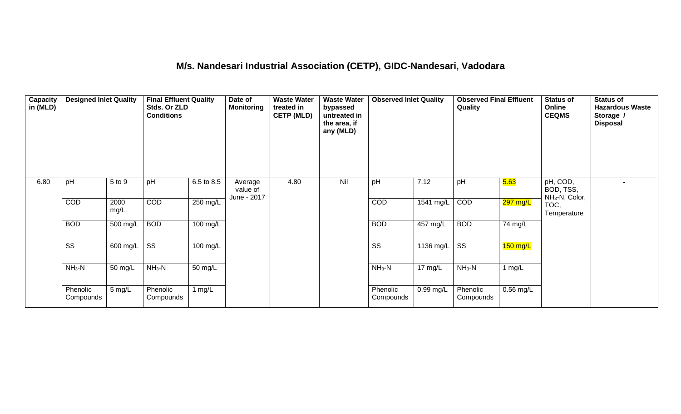## **M/s. Nandesari Industrial Association (CETP), GIDC-Nandesari, Vadodara**

| Capacity<br>in (MLD) | <b>Designed Inlet Quality</b> |                  | <b>Final Effluent Quality</b><br>Stds. Or ZLD<br><b>Conditions</b> |                   | Date of<br><b>Monitoring</b>       | <b>Waste Water</b><br>treated in<br><b>CETP (MLD)</b> | <b>Waste Water</b><br>bypassed<br>untreated in<br>the area, if<br>any (MLD) | <b>Observed Inlet Quality</b> |                   | <b>Observed Final Effluent</b><br>Quality |                       | <b>Status of</b><br>Online<br><b>CEQMS</b>          | <b>Status of</b><br><b>Hazardous Waste</b><br>Storage /<br><b>Disposal</b> |
|----------------------|-------------------------------|------------------|--------------------------------------------------------------------|-------------------|------------------------------------|-------------------------------------------------------|-----------------------------------------------------------------------------|-------------------------------|-------------------|-------------------------------------------|-----------------------|-----------------------------------------------------|----------------------------------------------------------------------------|
| 6.80                 | pH                            | 5 to 9           | pH                                                                 | 6.5 to 8.5        | Average<br>value of<br>June - 2017 | 4.80                                                  | Nil                                                                         | pH                            | 7.12              | pH                                        | 5.63                  | pH, COD,<br>BOD, TSS,<br>NH <sub>3</sub> -N, Color, |                                                                            |
|                      | <b>COD</b>                    | 2000<br>mg/L     | COD                                                                | 250 mg/L          |                                    |                                                       |                                                                             | COD                           | 1541 mg/L         | COD                                       | <mark>297 mg/L</mark> | TOC,<br>Temperature                                 |                                                                            |
|                      | <b>BOD</b>                    | 500 mg/L         | <b>BOD</b>                                                         | 100 mg/L          |                                    |                                                       |                                                                             | <b>BOD</b>                    | 457 mg/L          | <b>BOD</b>                                | 74 mg/L               |                                                     |                                                                            |
|                      | $\overline{\text{ss}}$        | 600 mg/L         | $\overline{\text{ss}}$                                             | 100 mg/L          |                                    |                                                       |                                                                             | $\overline{\text{ss}}$        | $1136$ mg/L       | $\overline{\text{ss}}$                    | $150$ mg/L            |                                                     |                                                                            |
|                      | $NH3-N$                       | 50 mg/L          | $NH3-N$                                                            | $50 \text{ mg/L}$ |                                    |                                                       |                                                                             | $NH3-N$                       | $17 \text{ mg/L}$ | $NH3-N$                                   | 1 mg/ $L$             |                                                     |                                                                            |
|                      | Phenolic<br>Compounds         | $5 \text{ mg/L}$ | Phenolic<br>Compounds                                              | 1 $mg/L$          |                                    |                                                       |                                                                             | Phenolic<br>Compounds         | $0.99$ mg/L       | Phenolic<br>Compounds                     | $0.56$ mg/L           |                                                     |                                                                            |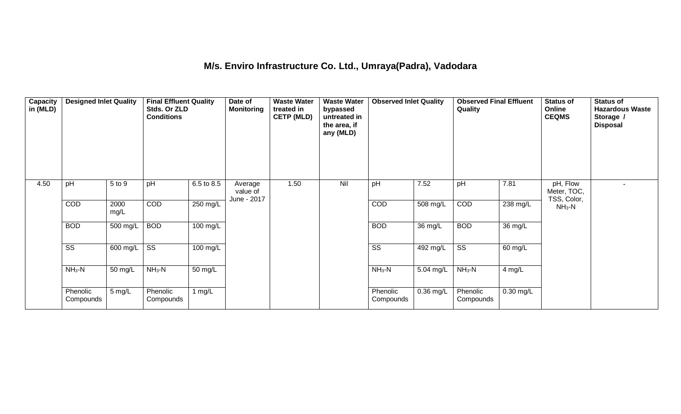### **M/s. Enviro Infrastructure Co. Ltd., Umraya(Padra), Vadodara**

| Capacity<br>in (MLD) | <b>Designed Inlet Quality</b> |              | <b>Final Effluent Quality</b><br>Stds. Or ZLD<br><b>Conditions</b> |            | Date of<br><b>Monitoring</b>       | <b>Waste Water</b><br>treated in<br><b>CETP (MLD)</b> | <b>Waste Water</b><br>bypassed<br>untreated in<br>the area, if<br>any (MLD) | <b>Observed Inlet Quality</b> |             | <b>Observed Final Effluent</b><br>Quality |                    | Status of<br>Online<br><b>CEQMS</b>    | <b>Status of</b><br><b>Hazardous Waste</b><br>Storage /<br><b>Disposal</b> |
|----------------------|-------------------------------|--------------|--------------------------------------------------------------------|------------|------------------------------------|-------------------------------------------------------|-----------------------------------------------------------------------------|-------------------------------|-------------|-------------------------------------------|--------------------|----------------------------------------|----------------------------------------------------------------------------|
| 4.50                 | pH                            | 5 to 9       | pH                                                                 | 6.5 to 8.5 | Average<br>value of<br>June - 2017 | 1.50                                                  | Nil                                                                         | pH                            | 7.52        | pH                                        | 7.81               | pH, Flow<br>Meter, TOC,<br>TSS, Color, |                                                                            |
|                      | COD                           | 2000<br>mg/L | COD                                                                | 250 mg/L   |                                    |                                                       |                                                                             | COD                           | 508 mg/L    | COD                                       | $238 \text{ mg/L}$ | $NH3-N$                                |                                                                            |
|                      | <b>BOD</b>                    | 500 mg/L     | <b>BOD</b>                                                         | 100 mg/L   |                                    |                                                       |                                                                             | <b>BOD</b>                    | 36 mg/L     | <b>BOD</b>                                | 36 mg/L            |                                        |                                                                            |
|                      | $\overline{\text{ss}}$        | 600 mg/L     | $\overline{\text{ss}}$                                             | 100 mg/L   |                                    |                                                       |                                                                             | $\overline{\text{ss}}$        | 492 mg/L    | $\overline{\text{ss}}$                    | 60 mg/L            |                                        |                                                                            |
|                      | $NH3-N$                       | 50 mg/L      | $NH3-N$                                                            | 50 mg/L    |                                    |                                                       |                                                                             | $NH3-N$                       | 5.04 mg/L   | $NH3-N$                                   | 4 mg/L             |                                        |                                                                            |
|                      | Phenolic<br>Compounds         | 5 mg/L       | Phenolic<br>Compounds                                              | 1 $mg/L$   |                                    |                                                       |                                                                             | Phenolic<br>Compounds         | $0.36$ mg/L | Phenolic<br>Compounds                     | $0.30$ mg/L        |                                        |                                                                            |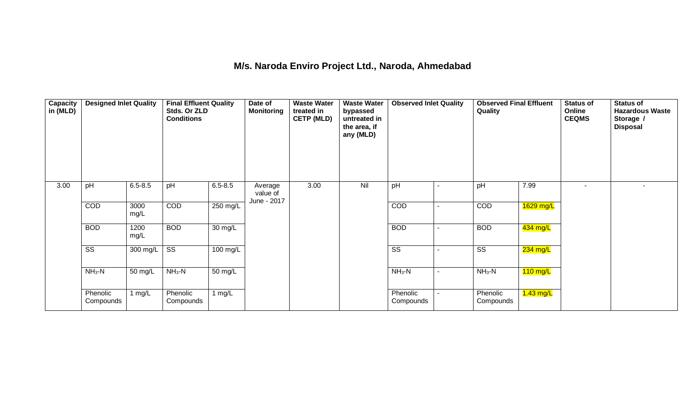#### **M/s. Naroda Enviro Project Ltd., Naroda, Ahmedabad**

| Capacity<br>in (MLD) | <b>Designed Inlet Quality</b> |              | <b>Final Effluent Quality</b><br>Stds. Or ZLD<br><b>Conditions</b> |             | Date of<br><b>Monitoring</b>       | <b>Waste Water</b><br>treated in<br><b>CETP (MLD)</b> | <b>Waste Water</b><br>bypassed<br>untreated in<br>the area, if<br>any (MLD) | <b>Observed Inlet Quality</b> | <b>Observed Final Effluent</b><br>Quality |             | <b>Status of</b><br>Online<br><b>CEQMS</b> | <b>Status of</b><br><b>Hazardous Waste</b><br>Storage /<br><b>Disposal</b> |
|----------------------|-------------------------------|--------------|--------------------------------------------------------------------|-------------|------------------------------------|-------------------------------------------------------|-----------------------------------------------------------------------------|-------------------------------|-------------------------------------------|-------------|--------------------------------------------|----------------------------------------------------------------------------|
| 3.00                 | pH                            | $6.5 - 8.5$  | pH                                                                 | $6.5 - 8.5$ | Average<br>value of<br>June - 2017 | 3.00                                                  | Nil                                                                         | pH                            | pH                                        | 7.99        | $\blacksquare$                             |                                                                            |
|                      | COD                           | 3000<br>mg/L | COD                                                                | 250 mg/L    |                                    |                                                       |                                                                             | COD                           | COD                                       | $1629$ mg/L |                                            |                                                                            |
|                      | <b>BOD</b>                    | 1200<br>mg/L | <b>BOD</b>                                                         | 30 mg/L     |                                    |                                                       |                                                                             | <b>BOD</b>                    | <b>BOD</b>                                | 434 mg/L    |                                            |                                                                            |
|                      | $\overline{\text{ss}}$        | 300 mg/L     | $\overline{\text{ss}}$                                             | 100 mg/L    |                                    |                                                       |                                                                             | $\overline{\text{ss}}$        | $\overline{\text{ss}}$                    | 234 mg/L    |                                            |                                                                            |
|                      | $NH3-N$                       | 50 mg/L      | $NH3-N$                                                            | 50 mg/L     |                                    |                                                       |                                                                             | $NH3-N$                       | $NH3-N$                                   | $110$ mg/L  |                                            |                                                                            |
|                      | Phenolic<br>Compounds         | 1 $mg/L$     | Phenolic<br>Compounds                                              | 1 $mg/L$    |                                    |                                                       |                                                                             | Phenolic<br>Compounds         | Phenolic<br>Compounds                     | $1.43$ mg/L |                                            |                                                                            |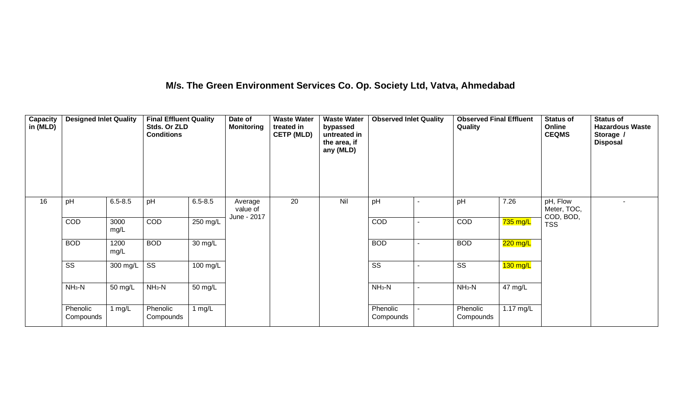### **M/s. The Green Environment Services Co. Op. Society Ltd, Vatva, Ahmedabad**

| Capacity<br>in (MLD) | <b>Designed Inlet Quality</b> |              | <b>Final Effluent Quality</b><br>Stds. Or ZLD<br><b>Conditions</b> |                   | Date of<br><b>Monitoring</b>       | <b>Waste Water</b><br>treated in<br><b>CETP (MLD)</b> | <b>Waste Water</b><br>bypassed<br>untreated in<br>the area, if<br>any (MLD) | <b>Observed Inlet Quality</b> |   | <b>Observed Final Effluent</b><br>Quality |                     | <b>Status of</b><br>Online<br><b>CEQMS</b> | <b>Status of</b><br><b>Hazardous Waste</b><br>Storage /<br><b>Disposal</b> |
|----------------------|-------------------------------|--------------|--------------------------------------------------------------------|-------------------|------------------------------------|-------------------------------------------------------|-----------------------------------------------------------------------------|-------------------------------|---|-------------------------------------------|---------------------|--------------------------------------------|----------------------------------------------------------------------------|
| 16                   | pH                            | $6.5 - 8.5$  | pH                                                                 | $6.5 - 8.5$       | Average<br>value of<br>June - 2017 | 20                                                    | Nil                                                                         | pH                            |   | pH                                        | 7.26                | pH, Flow<br>Meter, TOC,<br>COD, BOD,       |                                                                            |
|                      | COD                           | 3000<br>mg/L | <b>COD</b>                                                         | 250 mg/L          |                                    |                                                       |                                                                             | <b>COD</b>                    |   | COD                                       | 735 mg/L            | <b>TSS</b>                                 |                                                                            |
|                      | <b>BOD</b>                    | 1200<br>mg/L | <b>BOD</b>                                                         | $30 \text{ mg/L}$ |                                    |                                                       |                                                                             | <b>BOD</b>                    | ٠ | <b>BOD</b>                                | $220$ mg/L          |                                            |                                                                            |
|                      | $\overline{\text{ss}}$        | 300 mg/L     | $\overline{\text{SS}}$                                             | 100 mg/L          |                                    |                                                       |                                                                             | $\overline{\text{SS}}$        |   | $\overline{\text{ss}}$                    | $130$ mg/L          |                                            |                                                                            |
|                      | $NH3-N$                       | 50 mg/L      | $NH3-N$                                                            | 50 mg/L           |                                    |                                                       |                                                                             | $NH_3-N$                      |   | $NH3-N$                                   | 47 mg/L             |                                            |                                                                            |
|                      | Phenolic<br>Compounds         | 1 mg/ $L$    | Phenolic<br>Compounds                                              | 1 $mg/L$          |                                    |                                                       |                                                                             | Phenolic<br>Compounds         |   | Phenolic<br>Compounds                     | $1.17 \text{ mg/L}$ |                                            |                                                                            |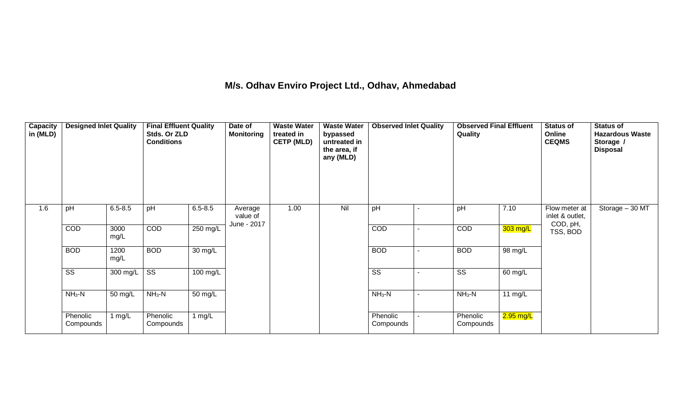### **M/s. Odhav Enviro Project Ltd., Odhav, Ahmedabad**

| Capacity<br>in (MLD) | <b>Designed Inlet Quality</b> |              | <b>Final Effluent Quality</b><br>Stds. Or ZLD<br><b>Conditions</b> |                      | Date of<br><b>Monitoring</b>       | <b>Waste Water</b><br>treated in<br><b>CETP (MLD)</b> | <b>Waste Water</b><br>bypassed<br>untreated in<br>the area, if<br>any (MLD) | <b>Observed Inlet Quality</b> |                | <b>Observed Final Effluent</b><br>Quality |             | <b>Status of</b><br>Online<br><b>CEQMS</b>   | <b>Status of</b><br><b>Hazardous Waste</b><br>Storage /<br><b>Disposal</b> |
|----------------------|-------------------------------|--------------|--------------------------------------------------------------------|----------------------|------------------------------------|-------------------------------------------------------|-----------------------------------------------------------------------------|-------------------------------|----------------|-------------------------------------------|-------------|----------------------------------------------|----------------------------------------------------------------------------|
| 1.6                  | pH                            | $6.5 - 8.5$  | pH                                                                 | $6.5 - 8.5$          | Average<br>value of<br>June - 2017 | 1.00                                                  | Nil                                                                         | pH                            |                | pH                                        | 7.10        | Flow meter at<br>inlet & outlet,<br>COD, pH, | Storage - 30 MT                                                            |
|                      | COD                           | 3000<br>mg/L | <b>COD</b>                                                         | 250 mg/L             |                                    |                                                       |                                                                             | <b>COD</b>                    | $\blacksquare$ | COD                                       | 303 mg/L    | TSS, BOD                                     |                                                                            |
|                      | <b>BOD</b>                    | 1200<br>mg/L | <b>BOD</b>                                                         | $\overline{30}$ mg/L |                                    |                                                       |                                                                             | <b>BOD</b>                    | ٠              | <b>BOD</b>                                | 98 mg/L     |                                              |                                                                            |
|                      | $\overline{\text{ss}}$        | 300 mg/L     | $\overline{\text{SS}}$                                             | 100 mg/L             |                                    |                                                       |                                                                             | $\overline{\text{SS}}$        |                | $\overline{\text{ss}}$                    | 60 mg/L     |                                              |                                                                            |
|                      | $NH3-N$                       | 50 mg/L      | $NH3-N$                                                            | 50 mg/L              |                                    |                                                       |                                                                             | $NH3-N$                       |                | $NH3-N$                                   | 11 $mg/L$   |                                              |                                                                            |
|                      | Phenolic<br>Compounds         | 1 $mg/L$     | Phenolic<br>Compounds                                              | 1 $mg/L$             |                                    |                                                       |                                                                             | Phenolic<br>Compounds         |                | Phenolic<br>Compounds                     | $2.95$ mg/L |                                              |                                                                            |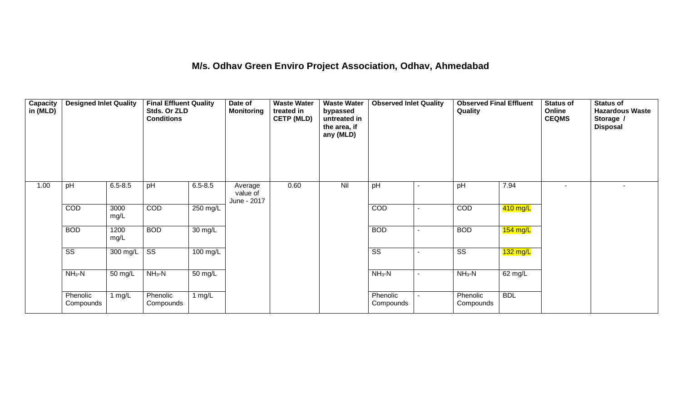#### **M/s. Odhav Green Enviro Project Association, Odhav, Ahmedabad**

| Capacity<br>in (MLD) | <b>Designed Inlet Quality</b> |              | <b>Final Effluent Quality</b><br>Stds. Or ZLD<br><b>Conditions</b> |                    | Date of<br><b>Monitoring</b>       | <b>Waste Water</b><br>treated in<br><b>CETP (MLD)</b> | <b>Waste Water</b><br>bypassed<br>untreated in<br>the area, if<br>any (MLD) | <b>Observed Inlet Quality</b> |                | <b>Observed Final Effluent</b><br>Quality |            | <b>Status of</b><br>Online<br><b>CEQMS</b> | <b>Status of</b><br><b>Hazardous Waste</b><br>Storage /<br><b>Disposal</b> |
|----------------------|-------------------------------|--------------|--------------------------------------------------------------------|--------------------|------------------------------------|-------------------------------------------------------|-----------------------------------------------------------------------------|-------------------------------|----------------|-------------------------------------------|------------|--------------------------------------------|----------------------------------------------------------------------------|
| 1.00                 | pH                            | $6.5 - 8.5$  | pH                                                                 | $6.5 - 8.5$        | Average<br>value of<br>June - 2017 | 0.60                                                  | Nil                                                                         | pH                            |                | pH                                        | 7.94       |                                            | $\blacksquare$                                                             |
|                      | COD                           | 3000<br>mg/L | COD                                                                | 250 mg/L           |                                    |                                                       |                                                                             | COD                           |                | COD                                       | 410 mg/L   |                                            |                                                                            |
|                      | <b>BOD</b>                    | 1200<br>mg/L | <b>BOD</b>                                                         | 30 mg/L            |                                    |                                                       |                                                                             | <b>BOD</b>                    | $\blacksquare$ | <b>BOD</b>                                | $154$ mg/L |                                            |                                                                            |
|                      | $\overline{\text{SS}}$        | 300 mg/L     | $\overline{\text{SS}}$                                             | $100 \text{ mg/L}$ |                                    |                                                       |                                                                             | $\overline{\text{ss}}$        |                | $\overline{\text{SS}}$                    | 132 mg/L   |                                            |                                                                            |
|                      | $NH3-N$                       | 50 mg/L      | $NH3-N$                                                            | 50 mg/L            |                                    |                                                       |                                                                             | $NH3-N$                       |                | $NH3-N$                                   | 62 mg/L    |                                            |                                                                            |
|                      | Phenolic<br>Compounds         | 1 $mg/L$     | Phenolic<br>Compounds                                              | 1 $mg/L$           |                                    |                                                       |                                                                             | Phenolic<br>Compounds         |                | Phenolic<br>Compounds                     | <b>BDL</b> |                                            |                                                                            |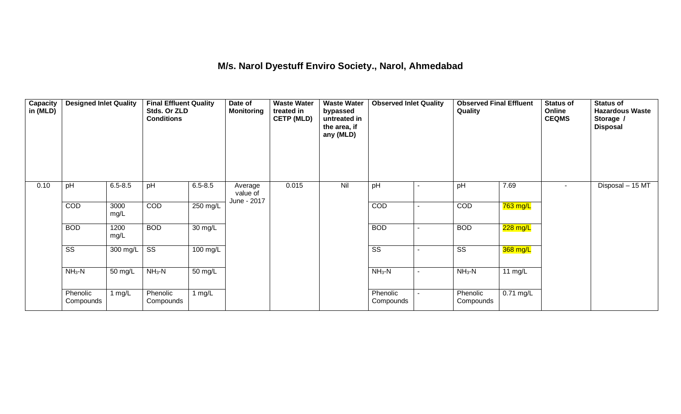### **M/s. Narol Dyestuff Enviro Society., Narol, Ahmedabad**

| Capacity<br>in (MLD) | <b>Designed Inlet Quality</b> |              | <b>Final Effluent Quality</b><br>Stds. Or ZLD<br><b>Conditions</b> |             | Date of<br><b>Monitoring</b>       | <b>Waste Water</b><br>treated in<br><b>CETP (MLD)</b> | <b>Waste Water</b><br>bypassed<br>untreated in<br>the area, if<br>any (MLD) | <b>Observed Inlet Quality</b> | <b>Observed Final Effluent</b><br>Quality |             | <b>Status of</b><br>Online<br><b>CEQMS</b> | <b>Status of</b><br><b>Hazardous Waste</b><br>Storage /<br><b>Disposal</b> |
|----------------------|-------------------------------|--------------|--------------------------------------------------------------------|-------------|------------------------------------|-------------------------------------------------------|-----------------------------------------------------------------------------|-------------------------------|-------------------------------------------|-------------|--------------------------------------------|----------------------------------------------------------------------------|
| 0.10                 | pH                            | $6.5 - 8.5$  | pH                                                                 | $6.5 - 8.5$ | Average<br>value of<br>June - 2017 | 0.015                                                 | Nil                                                                         | pH                            | pH                                        | 7.69        | $\sim$                                     | Disposal $-15$ MT                                                          |
|                      | COD                           | 3000<br>mg/L | COD                                                                | 250 mg/L    |                                    |                                                       |                                                                             | COD                           | COD                                       | 763 mg/L    |                                            |                                                                            |
|                      | <b>BOD</b>                    | 1200<br>mg/L | <b>BOD</b>                                                         | 30 mg/L     |                                    |                                                       |                                                                             | <b>BOD</b>                    | <b>BOD</b>                                | 228 mg/L    |                                            |                                                                            |
|                      | $\overline{\text{SS}}$        | 300 mg/L     | $\overline{\text{SS}}$                                             | 100 mg/L    |                                    |                                                       |                                                                             | $\overline{\text{ss}}$        | $\overline{\text{SS}}$                    | 368 mg/L    |                                            |                                                                            |
|                      | $NH3-N$                       | 50 mg/L      | $NH3-N$                                                            | 50 mg/L     |                                    |                                                       |                                                                             | $NH3-N$                       | $NH3-N$                                   | 11 $mg/L$   |                                            |                                                                            |
|                      | Phenolic<br>Compounds         | 1 $mg/L$     | Phenolic<br>Compounds                                              | 1 $mg/L$    |                                    |                                                       |                                                                             | Phenolic<br>Compounds         | Phenolic<br>Compounds                     | $0.71$ mg/L |                                            |                                                                            |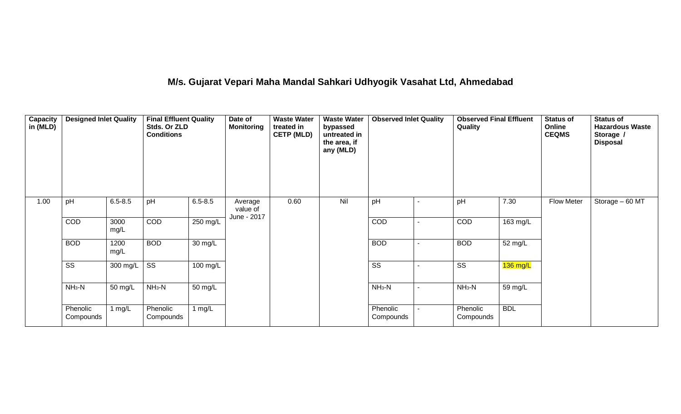# **M/s. Gujarat Vepari Maha Mandal Sahkari Udhyogik Vasahat Ltd, Ahmedabad**

| <b>Capacity</b><br>in (MLD) | <b>Designed Inlet Quality</b> |              | <b>Final Effluent Quality</b><br>Stds. Or ZLD<br><b>Conditions</b> |                      | Date of<br><b>Monitoring</b>       | <b>Waste Water</b><br>treated in<br><b>CETP (MLD)</b> | <b>Waste Water</b><br>bypassed<br>untreated in<br>the area, if<br>any (MLD) | <b>Observed Inlet Quality</b> |                          | <b>Observed Final Effluent</b><br>Quality |            | <b>Status of</b><br>Online<br><b>CEQMS</b> | <b>Status of</b><br><b>Hazardous Waste</b><br>Storage /<br><b>Disposal</b> |
|-----------------------------|-------------------------------|--------------|--------------------------------------------------------------------|----------------------|------------------------------------|-------------------------------------------------------|-----------------------------------------------------------------------------|-------------------------------|--------------------------|-------------------------------------------|------------|--------------------------------------------|----------------------------------------------------------------------------|
| 1.00                        | pH                            | $6.5 - 8.5$  | pH                                                                 | $6.5 - 8.5$          | Average<br>value of<br>June - 2017 | 0.60                                                  | Nil                                                                         | pH                            |                          | pH                                        | 7.30       | <b>Flow Meter</b>                          | Storage - 60 MT                                                            |
|                             | COD                           | 3000<br>mg/L | <b>COD</b>                                                         | 250 mg/L             |                                    |                                                       |                                                                             | <b>COD</b>                    |                          | COD                                       | 163 mg/L   |                                            |                                                                            |
|                             | <b>BOD</b>                    | 1200<br>mg/L | <b>BOD</b>                                                         | $\overline{30}$ mg/L |                                    |                                                       |                                                                             | <b>BOD</b>                    |                          | <b>BOD</b>                                | 52 mg/L    |                                            |                                                                            |
|                             | $\overline{\text{ss}}$        | 300 mg/L     | $\overline{\text{ss}}$                                             | 100 mg/L             |                                    |                                                       |                                                                             | $\overline{\text{ss}}$        |                          | $\overline{\text{ss}}$                    | $136$ mg/L |                                            |                                                                            |
|                             | $NH3-N$                       | 50 mg/L      | $NH3-N$                                                            | $50 \text{ mg/L}$    |                                    |                                                       |                                                                             | $NH_3-N$                      | $\overline{\phantom{a}}$ | $NH3-N$                                   | 59 mg/L    |                                            |                                                                            |
|                             | Phenolic<br>Compounds         | 1 mg/L       | Phenolic<br>Compounds                                              | 1 $mg/L$             |                                    |                                                       |                                                                             | Phenolic<br>Compounds         |                          | Phenolic<br>Compounds                     | <b>BDL</b> |                                            |                                                                            |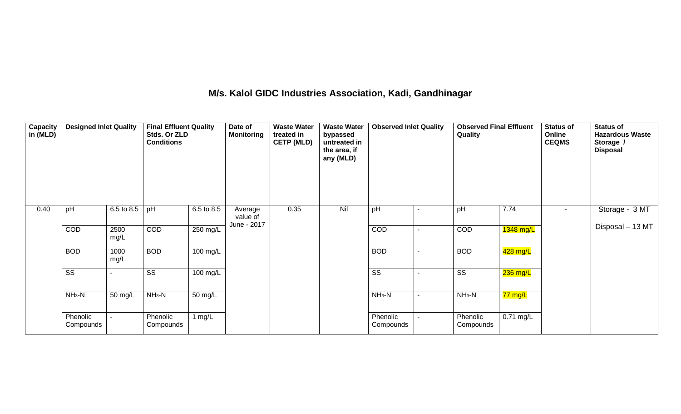### **M/s. Kalol GIDC Industries Association, Kadi, Gandhinagar**

| <b>Capacity</b><br>in (MLD) | <b>Designed Inlet Quality</b> |              | <b>Final Effluent Quality</b><br>Stds. Or ZLD<br><b>Conditions</b> |                    | Date of<br><b>Monitoring</b> | <b>Waste Water</b><br>treated in<br><b>CETP (MLD)</b> | <b>Waste Water</b><br>bypassed<br>untreated in<br>the area, if<br>any (MLD) | <b>Observed Inlet Quality</b> |                | <b>Observed Final Effluent</b><br>Quality |             | <b>Status of</b><br>Online<br><b>CEQMS</b> | <b>Status of</b><br><b>Hazardous Waste</b><br>Storage /<br><b>Disposal</b> |
|-----------------------------|-------------------------------|--------------|--------------------------------------------------------------------|--------------------|------------------------------|-------------------------------------------------------|-----------------------------------------------------------------------------|-------------------------------|----------------|-------------------------------------------|-------------|--------------------------------------------|----------------------------------------------------------------------------|
| 0.40                        | pH                            | 6.5 to 8.5   | pH                                                                 | 6.5 to 8.5         | Average<br>value of          | 0.35                                                  | Nil                                                                         | pH                            | ۰              | pH                                        | 7.74        |                                            | Storage - 3 MT                                                             |
|                             | COD                           | 2500<br>mg/L | <b>COD</b>                                                         | 250 mg/L           | June - 2017                  |                                                       |                                                                             | COD                           | $\blacksquare$ | COD                                       | 1348 mg/L   |                                            | Disposal - 13 MT                                                           |
|                             | <b>BOD</b>                    | 1000<br>mg/L | <b>BOD</b>                                                         | $100 \text{ mg/L}$ |                              |                                                       |                                                                             | <b>BOD</b>                    | $\blacksquare$ | <b>BOD</b>                                | 428 mg/L    |                                            |                                                                            |
|                             | SS                            |              | SS                                                                 | 100 mg/L           |                              |                                                       |                                                                             | SS                            | $\blacksquare$ | SS                                        | 236 mg/L    |                                            |                                                                            |
|                             | $NH3-N$                       | 50 mg/L      | $NH3-N$                                                            | 50 mg/L            |                              |                                                       |                                                                             | $NH3-N$                       | $\sim$         | $NH3-N$                                   | 77 mg/L     |                                            |                                                                            |
|                             | Phenolic<br>Compounds         |              | Phenolic<br>Compounds                                              | 1 $mg/L$           |                              |                                                       |                                                                             | Phenolic<br>Compounds         | $\sim$         | Phenolic<br>Compounds                     | $0.71$ mg/L |                                            |                                                                            |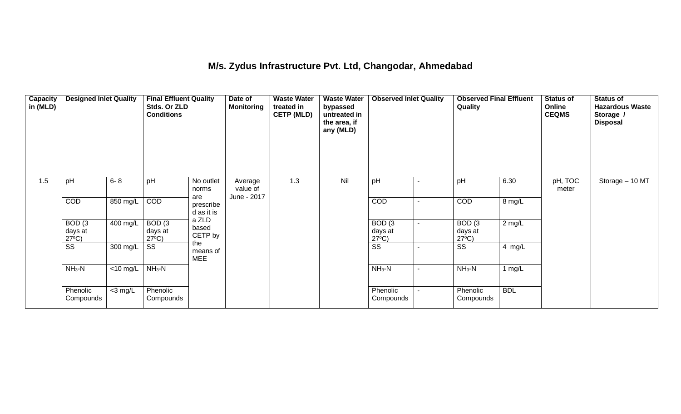### **M/s. Zydus Infrastructure Pvt. Ltd, Changodar, Ahmedabad**

| <b>Capacity</b><br>in (MLD) | <b>Designed Inlet Quality</b>                   |             | <b>Final Effluent Quality</b><br>Stds. Or ZLD<br><b>Conditions</b> |                                | Date of<br><b>Monitoring</b> | <b>Waste Water</b><br>treated in<br><b>CETP (MLD)</b> | <b>Waste Water</b><br>bypassed<br>untreated in<br>the area, if<br>any (MLD) | <b>Observed Inlet Quality</b>        |                | <b>Observed Final Effluent</b><br>Quality     |            | <b>Status of</b><br>Online<br><b>CEQMS</b> | <b>Status of</b><br><b>Hazardous Waste</b><br>Storage /<br><b>Disposal</b> |
|-----------------------------|-------------------------------------------------|-------------|--------------------------------------------------------------------|--------------------------------|------------------------------|-------------------------------------------------------|-----------------------------------------------------------------------------|--------------------------------------|----------------|-----------------------------------------------|------------|--------------------------------------------|----------------------------------------------------------------------------|
| 1.5                         | pH                                              | $6 - 8$     | pH                                                                 | No outlet<br>norms             | Average<br>value of          | 1.3                                                   | Nil                                                                         | pH                                   |                | pH                                            | 6.30       | pH, TOC<br>meter                           | Storage - 10 MT                                                            |
|                             | <b>COD</b>                                      | 850 mg/L    | COD                                                                | are<br>prescribe<br>d as it is | June - 2017                  |                                                       |                                                                             | COD                                  | $\blacksquare$ | COD                                           | 8 mg/L     |                                            |                                                                            |
|                             | BOD <sub>(3</sub><br>days at<br>$27^{\circ}C$ ) | 400 mg/L    | BOD <sub>(3</sub><br>days at<br>$27^{\circ}C$ )                    | a ZLD<br>based<br>CETP by      |                              |                                                       |                                                                             | BOD(3)<br>days at<br>$27^{\circ}C$ ) |                | BOD <sub>(3</sub><br>days at<br>$27^{\circ}C$ | $2$ mg/L   |                                            |                                                                            |
|                             | $\overline{\text{ss}}$                          | 300 mg/L    | $\overline{\text{SS}}$                                             | the<br>means of<br><b>MEE</b>  |                              |                                                       |                                                                             | $\overline{\text{ss}}$               |                | $\overline{\text{ss}}$                        | 4 mg/L     |                                            |                                                                            |
|                             | $NH3-N$                                         | $<$ 10 mg/L | $NH3-N$                                                            |                                |                              |                                                       |                                                                             | $NH3-N$                              | ٠              | $NH3-N$                                       | 1 $mg/L$   |                                            |                                                                            |
|                             | Phenolic<br>Compounds                           | $<$ 3 mg/L  | Phenolic<br>Compounds                                              |                                |                              |                                                       |                                                                             | Phenolic<br>Compounds                |                | Phenolic<br>Compounds                         | <b>BDL</b> |                                            |                                                                            |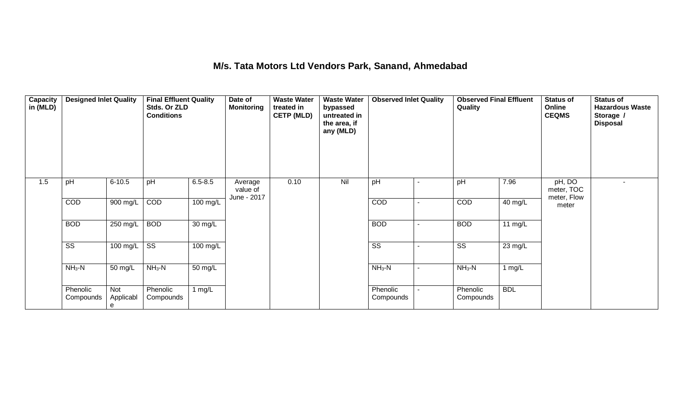### **M/s. Tata Motors Ltd Vendors Park, Sanand, Ahmedabad**

| Capacity<br>in (MLD) | <b>Designed Inlet Quality</b> |                       | <b>Final Effluent Quality</b><br>Stds. Or ZLD<br><b>Conditions</b> |                      | Date of<br><b>Monitoring</b>       | <b>Waste Water</b><br>treated in<br><b>CETP (MLD)</b> | <b>Waste Water</b><br>bypassed<br>untreated in<br>the area, if<br>any (MLD) | <b>Observed Inlet Quality</b> |                | <b>Observed Final Effluent</b><br>Quality |            | <b>Status of</b><br>Online<br><b>CEQMS</b> | <b>Status of</b><br><b>Hazardous Waste</b><br>Storage /<br><b>Disposal</b> |
|----------------------|-------------------------------|-----------------------|--------------------------------------------------------------------|----------------------|------------------------------------|-------------------------------------------------------|-----------------------------------------------------------------------------|-------------------------------|----------------|-------------------------------------------|------------|--------------------------------------------|----------------------------------------------------------------------------|
| 1.5                  | pH                            | $6 - 10.5$            | pH                                                                 | $6.5 - 8.5$          | Average<br>value of<br>June - 2017 | 0.10                                                  | Nil                                                                         | pH                            |                | pH                                        | 7.96       | pH, DO<br>meter, TOC<br>meter, Flow        |                                                                            |
|                      | COD                           | 900 mg/L              | COD                                                                | 100 mg/L             |                                    |                                                       |                                                                             | COD                           |                | COD                                       | 40 mg/L    | meter                                      |                                                                            |
|                      | <b>BOD</b>                    | 250 mg/L              | <b>BOD</b>                                                         | $\overline{30}$ mg/L |                                    |                                                       |                                                                             | <b>BOD</b>                    | $\blacksquare$ | <b>BOD</b>                                | 11 $mg/L$  |                                            |                                                                            |
|                      | $\overline{\text{ss}}$        | 100 mg/L              | $\overline{\text{SS}}$                                             | 100 mg/L             |                                    |                                                       |                                                                             | $\overline{\text{SS}}$        |                | $\overline{\text{SS}}$                    | 23 mg/L    |                                            |                                                                            |
|                      | $NH3-N$                       | 50 mg/L               | $NH3-N$                                                            | 50 mg/L              |                                    |                                                       |                                                                             | $NH3-N$                       | $\sim$         | $NH3-N$                                   | 1 $mg/L$   |                                            |                                                                            |
|                      | Phenolic<br>Compounds         | Not<br>Applicabl<br>e | Phenolic<br>Compounds                                              | 1 $mg/L$             |                                    |                                                       |                                                                             | Phenolic<br>Compounds         |                | Phenolic<br>Compounds                     | <b>BDL</b> |                                            |                                                                            |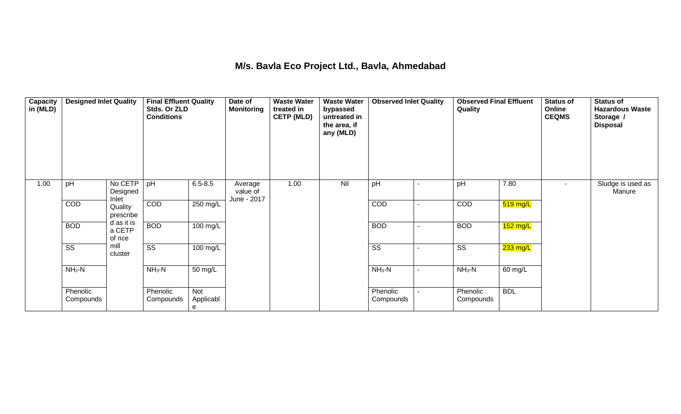#### **M/s. Bavla Eco Project Ltd., Bavla, Ahmedabad**

| Capacity<br>in (MLD) | <b>Designed Inlet Quality</b> |                                 | <b>Final Effluent Quality</b><br>Stds. Or ZLD<br><b>Conditions</b> |                       | Date of<br><b>Monitoring</b>       | <b>Waste Water</b><br>treated in<br><b>CETP (MLD)</b> | <b>Waste Water</b><br>bypassed<br>untreated in<br>the area, if<br>any (MLD) | <b>Observed Inlet Quality</b> |                          | <b>Observed Final Effluent</b><br>Quality |            | <b>Status of</b><br>Online<br><b>CEQMS</b> | <b>Status of</b><br><b>Hazardous Waste</b><br>Storage /<br><b>Disposal</b> |
|----------------------|-------------------------------|---------------------------------|--------------------------------------------------------------------|-----------------------|------------------------------------|-------------------------------------------------------|-----------------------------------------------------------------------------|-------------------------------|--------------------------|-------------------------------------------|------------|--------------------------------------------|----------------------------------------------------------------------------|
| 1.00                 | pH                            | No CETP<br>Designed<br>Inlet    | pH                                                                 | $6.5 - 8.5$           | Average<br>value of<br>June - 2017 | 1.00                                                  | Nil                                                                         | pH                            | $\blacksquare$           | pH                                        | 7.80       | $\blacksquare$                             | Sludge is used as<br>Manure                                                |
|                      | COD                           | Quality<br>prescribe            | COD                                                                | 250 mg/L              |                                    |                                                       |                                                                             | COD                           | ٠                        | COD                                       | $519$ mg/L |                                            |                                                                            |
|                      | <b>BOD</b>                    | d as it is<br>a CETP<br>of rice | <b>BOD</b>                                                         | 100 mg/L              |                                    |                                                       |                                                                             | <b>BOD</b>                    | $\sim$                   | <b>BOD</b>                                | $152$ mg/L |                                            |                                                                            |
|                      | SS                            | mill<br>cluster                 | $\overline{\text{SS}}$                                             | 100 mg/L              |                                    |                                                       |                                                                             | SS                            | $\overline{\phantom{0}}$ | SS                                        | 233 mg/L   |                                            |                                                                            |
|                      | $NH3-N$                       |                                 | $NH3-N$                                                            | 50 mg/L               |                                    |                                                       |                                                                             | $NH3-N$                       | ۰.                       | $NH3-N$                                   | 60 mg/L    |                                            |                                                                            |
|                      | Phenolic<br>Compounds         |                                 | Phenolic<br>Compounds                                              | Not<br>Applicabl<br>e |                                    |                                                       |                                                                             | Phenolic<br>Compounds         | ٠                        | Phenolic<br>Compounds                     | <b>BDL</b> |                                            |                                                                            |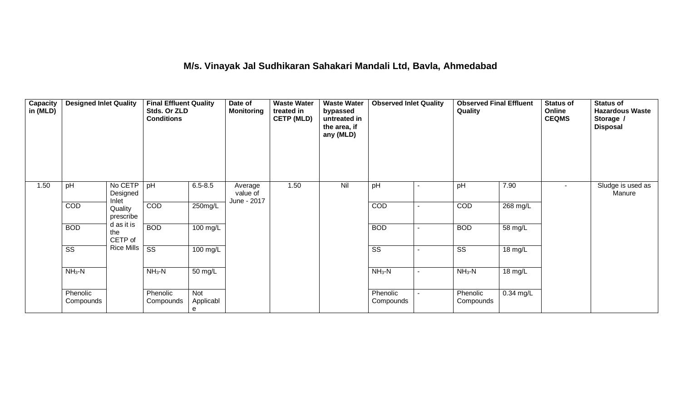### **M/s. Vinayak Jal Sudhikaran Sahakari Mandali Ltd, Bavla, Ahmedabad**

| Capacity<br>in (MLD) | <b>Designed Inlet Quality</b> |                                                                    | <b>Final Effluent Quality</b><br>Stds. Or ZLD<br><b>Conditions</b> |                       | Date of<br><b>Monitoring</b>       | <b>Waste Water</b><br>treated in<br><b>CETP (MLD)</b> | <b>Waste Water</b><br>bypassed<br>untreated in<br>the area, if<br>any (MLD) | <b>Observed Inlet Quality</b> |  | <b>Observed Final Effluent</b><br>Quality |                    | <b>Status of</b><br>Online<br><b>CEQMS</b> | <b>Status of</b><br><b>Hazardous Waste</b><br>Storage /<br><b>Disposal</b> |
|----------------------|-------------------------------|--------------------------------------------------------------------|--------------------------------------------------------------------|-----------------------|------------------------------------|-------------------------------------------------------|-----------------------------------------------------------------------------|-------------------------------|--|-------------------------------------------|--------------------|--------------------------------------------|----------------------------------------------------------------------------|
| 1.50                 | pH                            | No CETP<br>Designed<br>Inlet                                       | pH                                                                 | $6.5 - 8.5$           | Average<br>value of<br>June - 2017 | 1.50                                                  | Nil                                                                         | pH                            |  | pH                                        | 7.90               | $\sim$                                     | Sludge is used as<br>Manure                                                |
|                      | COD                           | Quality<br>prescribe<br>d as it is<br><b>BOD</b><br>the<br>CETP of | COD                                                                | $250$ mg/L            |                                    |                                                       |                                                                             | COD                           |  | COD                                       | $268 \text{ mg/L}$ |                                            |                                                                            |
|                      | <b>BOD</b>                    |                                                                    |                                                                    | 100 mg/L              |                                    |                                                       |                                                                             | <b>BOD</b>                    |  | <b>BOD</b>                                | 58 mg/L            |                                            |                                                                            |
|                      | $\overline{\text{ss}}$        | <b>Rice Mills</b>                                                  | $\overline{\text{ss}}$                                             | 100 mg/L              |                                    |                                                       |                                                                             | $\overline{\text{ss}}$        |  | $\overline{\text{SS}}$                    | 18 mg/L            |                                            |                                                                            |
|                      | $NH3-N$                       |                                                                    | $NH3-N$                                                            | 50 mg/L               |                                    |                                                       |                                                                             | $NH3-N$                       |  | $NH3-N$                                   | 18 mg/L            |                                            |                                                                            |
|                      | Phenolic<br>Compounds         |                                                                    | Phenolic<br>Compounds                                              | Not<br>Applicabl<br>е |                                    |                                                       |                                                                             | Phenolic<br>Compounds         |  | Phenolic<br>Compounds                     | $0.34$ mg/L        |                                            |                                                                            |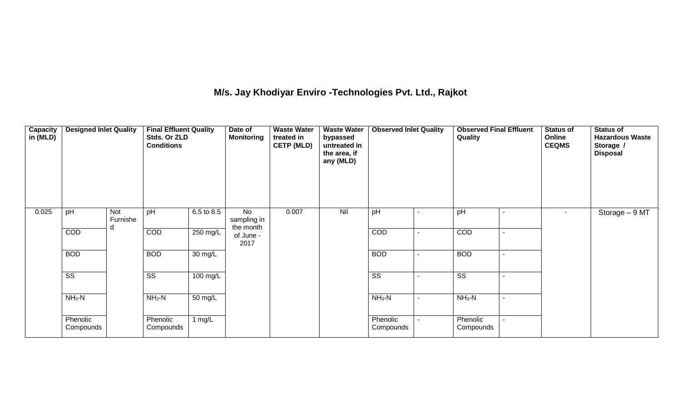## **M/s. Jay Khodiyar Enviro -Technologies Pvt. Ltd., Rajkot**

| Capacity<br>in (MLD) | <b>Designed Inlet Quality</b> |                      | <b>Final Effluent Quality</b><br>Stds. Or ZLD<br><b>Conditions</b> |                       | Date of<br><b>Monitoring</b>          | <b>Waste Water</b><br>treated in<br><b>CETP (MLD)</b> | <b>Waste Water</b><br>bypassed<br>untreated in<br>the area, if<br>any (MLD) | <b>Observed Inlet Quality</b> |                | Quality<br>٠           |                | <b>Status of</b><br>Online<br><b>CEQMS</b> | <b>Status of</b><br><b>Hazardous Waste</b><br>Storage /<br><b>Disposal</b> |
|----------------------|-------------------------------|----------------------|--------------------------------------------------------------------|-----------------------|---------------------------------------|-------------------------------------------------------|-----------------------------------------------------------------------------|-------------------------------|----------------|------------------------|----------------|--------------------------------------------|----------------------------------------------------------------------------|
| 0.025                | pH                            | Not<br>Furnishe<br>d | pH                                                                 | $6.5 \text{ to } 8.5$ | <b>No</b><br>sampling in<br>the month | 0.007                                                 | Nil                                                                         | pH                            |                | pH                     |                | $\sim$                                     | Storage $-9$ MT                                                            |
|                      | COD                           |                      | <b>COD</b>                                                         | 250 mg/L              | of June -<br>2017                     |                                                       |                                                                             | COD                           | $\blacksquare$ | COD                    | $\blacksquare$ |                                            |                                                                            |
|                      | <b>BOD</b>                    |                      | <b>BOD</b>                                                         | 30 mg/L               |                                       |                                                       |                                                                             | <b>BOD</b>                    |                | <b>BOD</b>             | $\blacksquare$ |                                            |                                                                            |
|                      | $\overline{\text{ss}}$        |                      | SS                                                                 | 100 mg/L              |                                       |                                                       |                                                                             | $\overline{\text{ss}}$        |                | $\overline{\text{ss}}$ | $\blacksquare$ |                                            |                                                                            |
|                      | $NH3-N$                       |                      | $NH_3-N$                                                           | 50 mg/L               |                                       |                                                       |                                                                             | $NH_3-N$                      | ۰              | $NH3-N$                | $\blacksquare$ |                                            |                                                                            |
|                      | Phenolic<br>Compounds         |                      | Phenolic<br>Compounds                                              | 1 $mg/L$              |                                       |                                                       |                                                                             | Phenolic<br>Compounds         |                | Phenolic<br>Compounds  |                |                                            |                                                                            |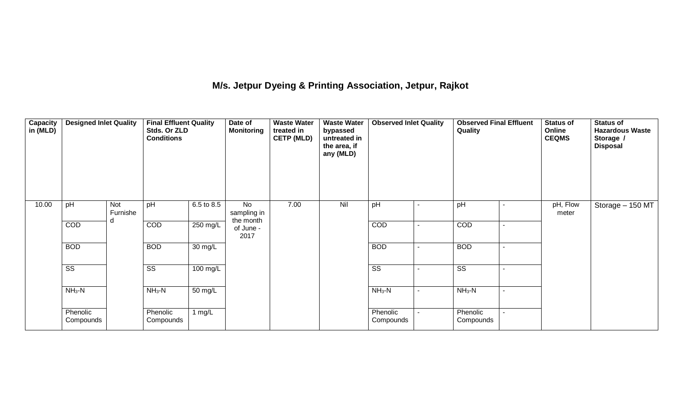### **M/s. Jetpur Dyeing & Printing Association, Jetpur, Rajkot**

| <b>Capacity</b><br>in (MLD) | <b>Designed Inlet Quality</b> |                 | <b>Final Effluent Quality</b><br>Stds. Or ZLD<br><b>Conditions</b> |                      | Date of<br><b>Monitoring</b>          | <b>Waste Water</b><br>treated in<br><b>CETP (MLD)</b> | <b>Waste Water</b><br>bypassed<br>untreated in<br>the area, if<br>any (MLD) |                        |  | <b>Observed Final Effluent</b><br>Quality |  | <b>Status of</b><br>Online<br><b>CEQMS</b> | <b>Status of</b><br><b>Hazardous Waste</b><br>Storage /<br><b>Disposal</b> |
|-----------------------------|-------------------------------|-----------------|--------------------------------------------------------------------|----------------------|---------------------------------------|-------------------------------------------------------|-----------------------------------------------------------------------------|------------------------|--|-------------------------------------------|--|--------------------------------------------|----------------------------------------------------------------------------|
| 10.00                       | pH                            | Not<br>Furnishe | pH                                                                 | 6.5 to 8.5           | <b>No</b><br>sampling in<br>the month | 7.00                                                  | Nil                                                                         | pH                     |  | pH                                        |  | pH, Flow<br>meter                          | Storage - 150 MT                                                           |
|                             | COD                           |                 | <b>COD</b>                                                         | 250 mg/L             | of June -<br>2017                     |                                                       |                                                                             | <b>COD</b>             |  | <b>COD</b>                                |  |                                            |                                                                            |
|                             | <b>BOD</b>                    |                 | <b>BOD</b>                                                         | $\overline{30}$ mg/L |                                       |                                                       |                                                                             | <b>BOD</b>             |  | <b>BOD</b>                                |  |                                            |                                                                            |
|                             | $\overline{\text{SS}}$        |                 | SS                                                                 | 100 mg/L             |                                       |                                                       |                                                                             | $\overline{\text{ss}}$ |  | $\overline{\text{ss}}$                    |  |                                            |                                                                            |
|                             | $NH3-N$                       |                 | $NH3-N$                                                            | 50 mg/L              |                                       |                                                       |                                                                             | $NH3-N$                |  | $NH3-N$                                   |  |                                            |                                                                            |
|                             | Phenolic<br>Compounds         |                 | Phenolic<br>Compounds                                              | 1 $mg/L$             |                                       |                                                       |                                                                             | Phenolic<br>Compounds  |  | Phenolic<br>Compounds                     |  |                                            |                                                                            |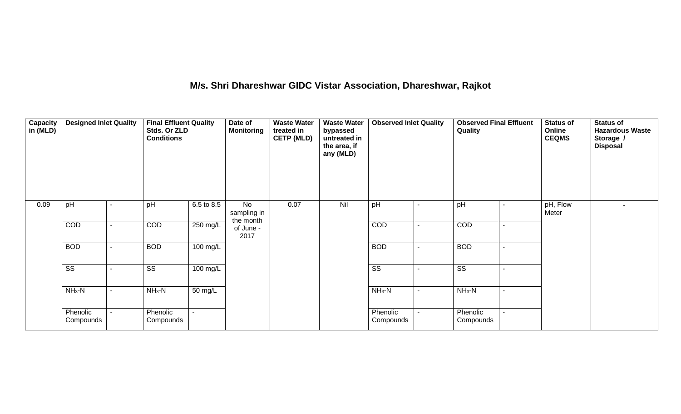### **M/s. Shri Dhareshwar GIDC Vistar Association, Dhareshwar, Rajkot**

| Capacity<br>in (MLD) | <b>Designed Inlet Quality</b> |                    | <b>Final Effluent Quality</b><br>Stds. Or ZLD<br><b>Conditions</b> |            | Date of<br><b>Monitoring</b>          | <b>Waste Water</b><br>treated in<br><b>CETP (MLD)</b> | <b>Waste Water</b><br>bypassed<br>untreated in<br>the area, if<br>any (MLD) |                       |         | Quality               |  | <b>Status of</b><br>Online<br><b>CEQMS</b> | <b>Status of</b><br><b>Hazardous Waste</b><br>Storage /<br><b>Disposal</b> |
|----------------------|-------------------------------|--------------------|--------------------------------------------------------------------|------------|---------------------------------------|-------------------------------------------------------|-----------------------------------------------------------------------------|-----------------------|---------|-----------------------|--|--------------------------------------------|----------------------------------------------------------------------------|
| 0.09                 | pH                            |                    | pH                                                                 | 6.5 to 8.5 | <b>No</b><br>sampling in<br>the month | 0.07                                                  | Nil                                                                         | pH                    |         | pH                    |  | pH, Flow<br>Meter                          | ۰                                                                          |
|                      | COD                           |                    | COD                                                                | 250 mg/L   | of June -<br>2017                     |                                                       |                                                                             | COD                   |         | COD                   |  |                                            |                                                                            |
|                      | <b>BOD</b>                    |                    | <b>BOD</b>                                                         | $100$ mg/L |                                       |                                                       |                                                                             | <b>BOD</b>            |         | <b>BOD</b>            |  |                                            |                                                                            |
|                      | SS                            |                    | SS                                                                 | 100 mg/L   |                                       |                                                       |                                                                             | SS                    |         | SS                    |  |                                            |                                                                            |
|                      | $NH3-N$                       | $NH3-N$<br>50 mg/L |                                                                    |            |                                       |                                                       | $NH3-N$                                                                     |                       | $NH3-N$ |                       |  |                                            |                                                                            |
|                      | Phenolic<br>Compounds         | $\blacksquare$     | Phenolic<br>Compounds                                              |            |                                       |                                                       |                                                                             | Phenolic<br>Compounds |         | Phenolic<br>Compounds |  |                                            |                                                                            |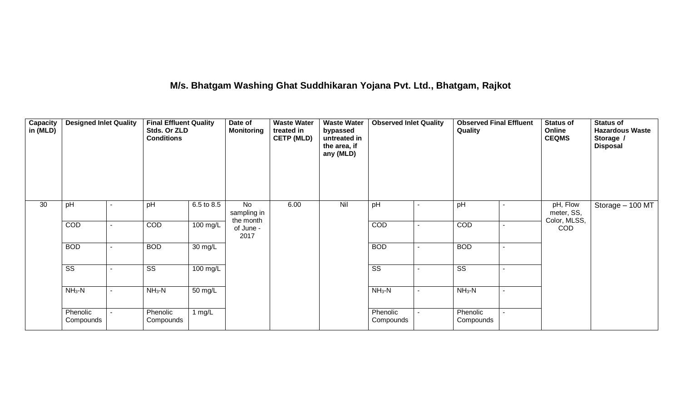### **M/s. Bhatgam Washing Ghat Suddhikaran Yojana Pvt. Ltd., Bhatgam, Rajkot**

| Capacity<br>in (MLD) | <b>Designed Inlet Quality</b> |                | <b>Final Effluent Quality</b><br>Stds. Or ZLD<br><b>Conditions</b> |                   | Date of<br><b>Monitoring</b>   | <b>Waste Water</b><br>treated in<br><b>CETP (MLD)</b> | <b>Waste Water</b><br>bypassed<br>untreated in<br>the area, if<br>any (MLD) | <b>Observed Inlet Quality</b> | <b>Observed Final Effluent</b><br>Quality |  | <b>Status of</b><br>Online<br><b>CEQMS</b> | <b>Status of</b><br><b>Hazardous Waste</b><br>Storage /<br><b>Disposal</b> |
|----------------------|-------------------------------|----------------|--------------------------------------------------------------------|-------------------|--------------------------------|-------------------------------------------------------|-----------------------------------------------------------------------------|-------------------------------|-------------------------------------------|--|--------------------------------------------|----------------------------------------------------------------------------|
| 30                   | pH                            |                | pH                                                                 | 6.5 to 8.5        | No<br>sampling in<br>the month | 6.00                                                  | Nil                                                                         | pH                            | pH                                        |  | pH, Flow<br>meter, SS,<br>Color, MLSS,     | Storage - 100 MT                                                           |
|                      | COD                           |                | COD                                                                | 100 mg/L          | of June -<br>2017              |                                                       |                                                                             | COD                           | COD                                       |  | <b>COD</b>                                 |                                                                            |
|                      | <b>BOD</b>                    |                | <b>BOD</b>                                                         | $30 \text{ mg/L}$ |                                |                                                       |                                                                             | <b>BOD</b>                    | <b>BOD</b>                                |  |                                            |                                                                            |
|                      | $\overline{\text{ss}}$        |                | SS                                                                 | 100 mg/L          |                                |                                                       |                                                                             | SS                            | SS                                        |  |                                            |                                                                            |
|                      | $NH_3-N$                      |                | $NH3-N$                                                            | $50 \text{ mg/L}$ |                                |                                                       |                                                                             | $NH_3-N$                      | $NH_3-N$                                  |  |                                            |                                                                            |
|                      | Phenolic<br>Compounds         | $\blacksquare$ | Phenolic<br>Compounds                                              | $1 \text{ mg/L}$  |                                |                                                       |                                                                             | Phenolic<br>Compounds         | Phenolic<br>Compounds                     |  |                                            |                                                                            |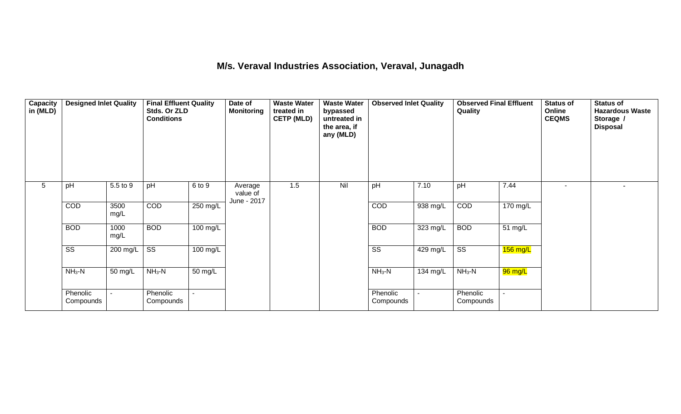#### **M/s. Veraval Industries Association, Veraval, Junagadh**

| Capacity<br>in (MLD) |                        | <b>Designed Inlet Quality</b><br><b>Final Effluent Quality</b><br>Stds. Or ZLD<br><b>Conditions</b> |                        |                    | Date of<br><b>Monitoring</b>       | <b>Waste Water</b><br>treated in<br><b>CETP (MLD)</b> | <b>Waste Water</b><br>bypassed<br>untreated in<br>the area, if<br>any (MLD) | <b>Observed Inlet Quality</b> |            | <b>Observed Final Effluent</b><br>Quality |            | Status of<br>Online<br><b>CEQMS</b> | <b>Status of</b><br><b>Hazardous Waste</b><br>Storage /<br><b>Disposal</b> |
|----------------------|------------------------|-----------------------------------------------------------------------------------------------------|------------------------|--------------------|------------------------------------|-------------------------------------------------------|-----------------------------------------------------------------------------|-------------------------------|------------|-------------------------------------------|------------|-------------------------------------|----------------------------------------------------------------------------|
| 5                    | pH                     | 5.5 to 9                                                                                            | pH                     | 6 to 9             | Average<br>value of<br>June - 2017 | 1.5                                                   | Nil                                                                         | pH                            | 7.10       | pH                                        | 7.44       | $\blacksquare$                      |                                                                            |
|                      | COD                    | 3500<br>mg/L                                                                                        | COD                    | 250 mg/L           |                                    |                                                       |                                                                             | COD                           | 938 mg/L   | COD                                       | 170 mg/L   |                                     |                                                                            |
|                      | <b>BOD</b>             | 1000<br>mg/L                                                                                        | <b>BOD</b>             | $100 \text{ mg/L}$ |                                    |                                                       |                                                                             | <b>BOD</b>                    | 323 mg/L   | <b>BOD</b>                                | 51 mg/L    |                                     |                                                                            |
|                      | $\overline{\text{ss}}$ | 200 mg/L                                                                                            | $\overline{\text{ss}}$ | 100 mg/L           |                                    |                                                       |                                                                             | $\overline{\text{ss}}$        | $429$ mg/L | $\overline{\text{ss}}$                    | $156$ mg/L |                                     |                                                                            |
|                      | $NH3-N$                | 50 mg/L                                                                                             | $NH3-N$                | 50 mg/L            |                                    |                                                       |                                                                             | $NH3-N$                       | 134 mg/L   | $NH3-N$                                   | 96 mg/L    |                                     |                                                                            |
|                      | Phenolic<br>Compounds  |                                                                                                     | Phenolic<br>Compounds  |                    |                                    |                                                       |                                                                             | Phenolic<br>Compounds         |            | Phenolic<br>Compounds                     |            |                                     |                                                                            |